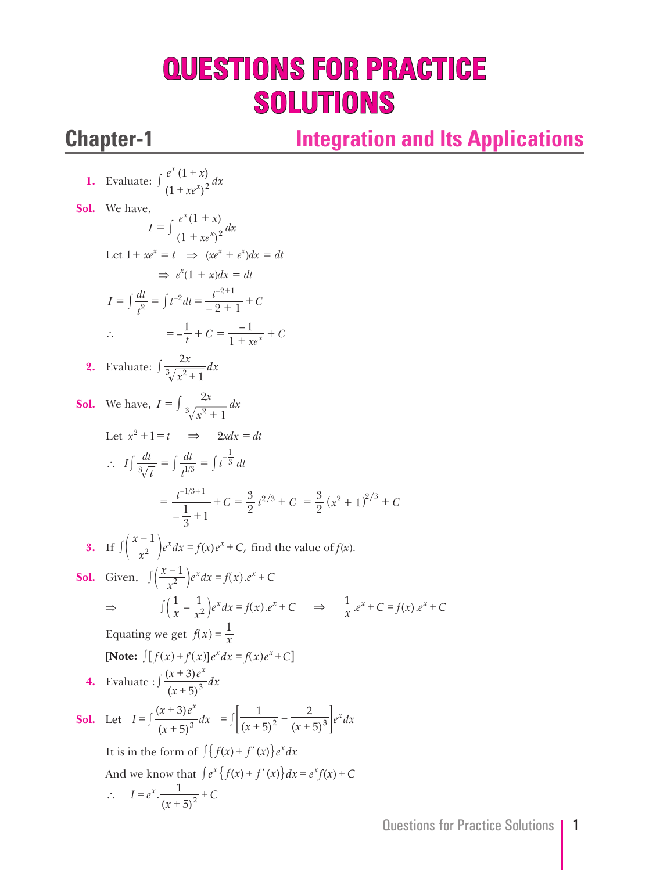# **QUESTIONS FOR PRACTICE SOLUTIONS**

## **Chapter-1 Integration and Its Applications**

1. Evaluate: 
$$
\int \frac{e^x (1+x)}{(1+xe^x)^2} dx
$$
  
\n**Sol.** We have,  
\n $I = \int \frac{e^x (1+x)}{(1+xe^x)^2} dx$   
\nLet  $1 + xe^x = t \Rightarrow (xe^x + e^x) dx = dt$   
\n $\Rightarrow e^x (1 + x) dx = dt$   
\n $I = \int \frac{dt}{t^2} = \int t^{-2} dt = \frac{t^{-2+1}}{-2+1} + C$   
\n $\therefore = -\frac{1}{t} + C = \frac{-1}{1 + xe^x} + C$   
\n2. Evaluate:  $\int \frac{2x}{\sqrt[3]{x^2+1}} dx$   
\n**Sol.** We have,  $I = \int \frac{2x}{\sqrt[3]{x^2+1}} dx$   
\nLet  $x^2 + 1 = t \Rightarrow 2xdx = dt$   
\n $\therefore I \int \frac{dt}{\sqrt[3]{t}} = \int \frac{dt}{t^{1/3}} = \int t^{-\frac{1}{3}} dt$   
\n $= \frac{t^{-1/3+1}}{-\frac{1}{3} + 1} + C = \frac{3}{2}t^{2/3} + C = \frac{3}{2}(x^2 + 1)^{2/3} + C$   
\n3. If  $\int \left(\frac{x-1}{x^2}\right) e^x dx = f(x) e^x + C$ , find the value of  $f(x)$ .  
\n**Sol.** Given,  $\int \left(\frac{x-1}{x^2}\right) e^x dx = f(x) e^x + C$   
\n $\Rightarrow \int \left(\frac{1}{x} - \frac{1}{x^2} e^x dx = f(x) e^x + C$   
\n $\Rightarrow \int \left(\frac{1}{x} - \frac{1}{x^2} e^x dx = f(x) e^x + C$   
\nEquating we get  $f(x) = \frac{1}{x}$   
\n**(Note:**  $\int [f(x) + f(x)] e^x dx = f(x) e^x + C$   
\n4. Evaluate:  $\int \frac{(x+3)e^x}{(x+5)^3} dx$   
\n**Sol.** Let  $I = \int \frac{(x+3)e^x}{(x+5)^3} dx = \int \left[\frac{1}{(x+5)^2} - \frac{2}{(x$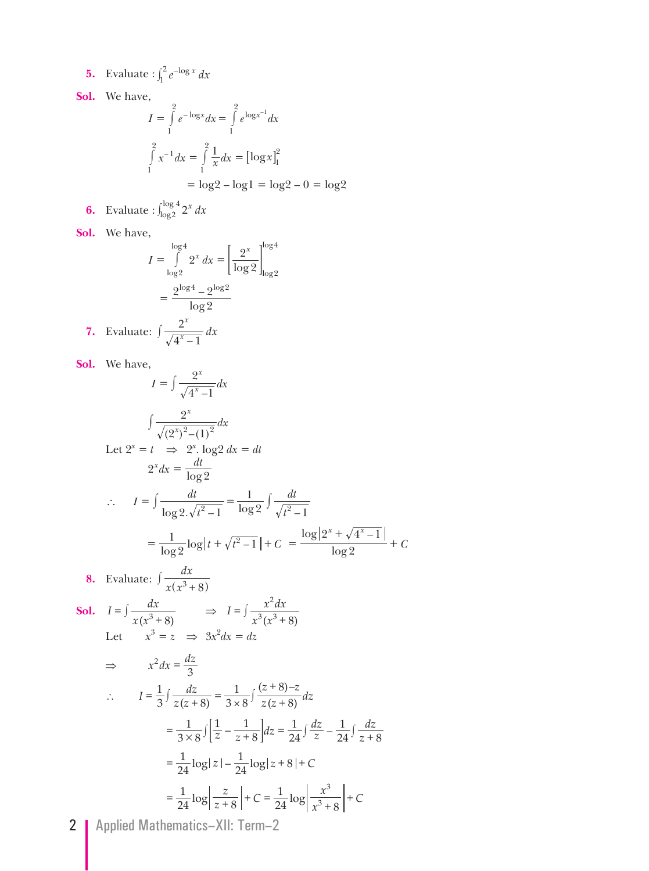**5.** Evaluate :  $\int_1^2 e^{-\log x} dx$  $\int_1^2$ 

**Sol.** We have,

$$
I = \int_{1}^{2} e^{-\log x} dx = \int_{1}^{2} e^{\log x^{-1}} dx
$$

$$
\int_{1}^{2} x^{-1} dx = \int_{1}^{2} \frac{1}{x} dx = [\log x]_{1}^{2}
$$

$$
= \log 2 - \log 1 = \log 2 - 0 = \log 2
$$

**6.** Evaluate :  $\int_{\log 2}^{\log 4} 2^x dx$  $\int_{\log 2}^{\log 4}$ 

**Sol.** We have,

$$
I = \int_{\log 2}^{\log 4} 2^x dx = \left[\frac{2^x}{\log 2}\right]_{\log 2}^{\log 4}
$$

$$
= \frac{2^{\log 4} - 2^{\log 2}}{\log 2}
$$
7. Evaluate: 
$$
\int \frac{2^x}{\sqrt{4^x - 1}} dx
$$

**Sol.** We have,

$$
I = \int \frac{2^{x}}{\sqrt{4^{x}-1}} dx
$$
\n
$$
\int \frac{2^{x}}{\sqrt{(2^{x})^{2}-(1)^{2}}} dx
$$
\nLet  $2^{x} = t \implies 2^{x}$ .  $\log 2 dx = dt$   
\n $2^{x} dx = \frac{dt}{\log 2}$   
\n $\therefore I = \int \frac{dt}{\log 2 \cdot \sqrt{t^{2}-1}} = \frac{1}{\log 2} \int \frac{dt}{\sqrt{t^{2}-1}}$   
\n $= \frac{1}{\log 2} \log|t + \sqrt{t^{2}-1}| + C = \frac{\log|2^{x} + \sqrt{4^{x}-1}|}{\log 2} + C$   
\n8. Evaluate:  $\int \frac{dx}{x(x^{3} + 8)}$   
\nSoI.  $I = \int \frac{dx}{x(x^{3} + 8)}$   
\nLet  $x^{3} = z \implies 3x^{2} dx = dz$   
\n $\implies x^{2} dx = \frac{dz}{3}$   
\n $\therefore I = \frac{1}{3} \int \frac{dz}{z(z+8)} = \frac{1}{3 \times 8} \int \frac{(z+8)-z}{z(z+8)} dz$   
\n $= \frac{1}{3 \times 8} \int \left[\frac{1}{z} - \frac{1}{z+8}\right] dz = \frac{1}{24} \int \frac{dz}{z} - \frac{1}{24} \int \frac{dz}{z+8}$   
\n $= \frac{1}{24} \log|z| - \frac{1}{24} \log|z+8| + C$   
\n $= \frac{1}{24} \log \left|\frac{z}{z+8}\right| + C = \frac{1}{24} \log \left|\frac{x^{3}}{x^{3} + 8}\right| + C$ 

2 | Applied Mathematics-XII: Term-2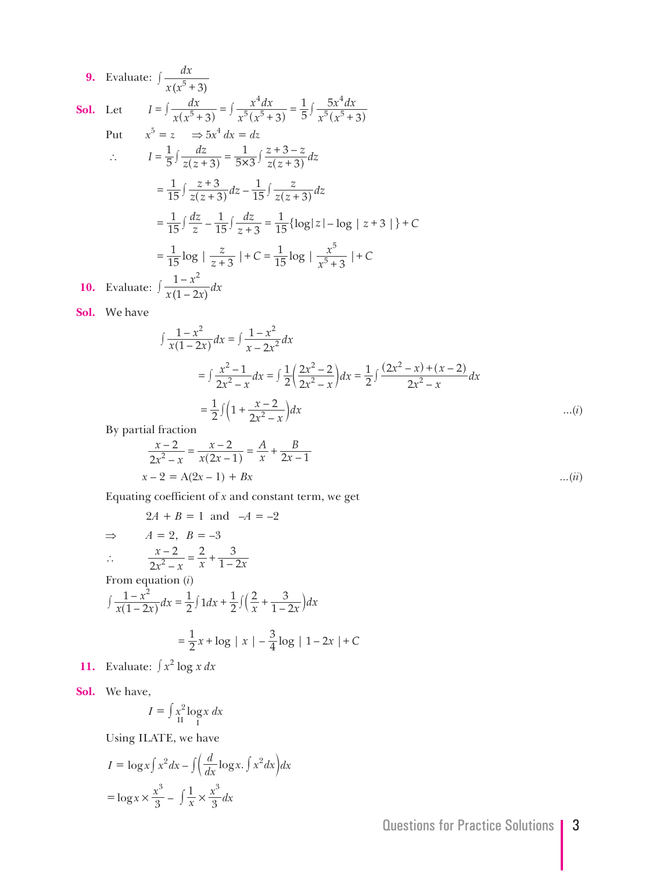**9.** Evaluate:  $x(x^3 + 3)$  $\int \frac{dx}{x(x^5+3)}$ 

Sol. Let

Let 
$$
I = \int \frac{dx}{x(x^5 + 3)} = \int \frac{x^4 dx}{x^5(x^5 + 3)} = \frac{1}{5} \int \frac{5x^4 dx}{x^5(x^5 + 3)}
$$
  
But  $x^5 = x \implies 5x^4 dx = dx$ 

Put 
$$
x^5 = z \Rightarrow 5x^4 dx = dz
$$
  
\n
$$
\therefore I = \frac{1}{5} \int \frac{dz}{z(z+3)} = \frac{1}{5 \times 3} \int \frac{z+3-z}{z(z+3)} dz
$$
\n
$$
= \frac{1}{15} \int \frac{z+3}{z(z+3)} dz - \frac{1}{15} \int \frac{z}{z(z+3)} dz
$$
\n
$$
= \frac{1}{15} \int \frac{dz}{z} - \frac{1}{15} \int \frac{dz}{z+3} = \frac{1}{15} \{ \log|z| - \log |z+3| \} + C
$$
\n
$$
= \frac{1}{15} \log | \frac{z}{z+3} | + C = \frac{1}{15} \log | \frac{x^5}{x^5+3} | + C
$$
\n10. Evaluate:  $\int \frac{1-x^2}{x(1-2x)} dx$ 

**Sol.** We have

$$
\int \frac{1 - x^2}{x(1 - 2x)} dx = \int \frac{1 - x^2}{x - 2x^2} dx
$$
  
= 
$$
\int \frac{x^2 - 1}{2x^2 - x} dx = \int \frac{1}{2} \left( \frac{2x^2 - 2}{2x^2 - x} \right) dx = \frac{1}{2} \int \frac{(2x^2 - x) + (x - 2)}{2x^2 - x} dx
$$
  
= 
$$
\frac{1}{2} \int \left( 1 + \frac{x - 2}{2x^2 - x} \right) dx
$$
...(i)

By partial fraction

$$
\frac{x-2}{2x^2 - x} = \frac{x-2}{x(2x-1)} = \frac{A}{x} + \frac{B}{2x-1}
$$
  
x-2 = A(2x - 1) + Bx ...(ii)

Equating coefficient of *x* and constant term, we get

$$
2A + B = 1 \text{ and } -A = -2
$$
  
\n
$$
\Rightarrow \qquad A = 2, \ B = -3
$$
  
\n
$$
\therefore \qquad \frac{x - 2}{2x^2 - x} = \frac{2}{x} + \frac{3}{1 - 2x}
$$
  
\nFrom equation (i)  
\n
$$
\int \frac{1 - x^2}{x(1 - 2x)} dx = \frac{1}{2} \int 1 dx + \frac{1}{2} \int \left(\frac{2}{x} + \frac{3}{1 - 2x}\right) dx
$$
  
\n
$$
= \frac{1}{2} x + \log |x| - \frac{3}{4} \log |1 - 2x| + C
$$

**11.** Evaluate:  $\int x^2 \log x \, dx$ 

**Sol.** We have,

$$
I = \int \frac{x^2 \log x}{\ln x} dx
$$

Using ILATE, we have

$$
I = \log x \int x^2 dx - \int \left(\frac{d}{dx} \log x \cdot \int x^2 dx\right) dx
$$

$$
= \log x \times \frac{x^3}{3} - \int \frac{1}{x} \times \frac{x^3}{3} dx
$$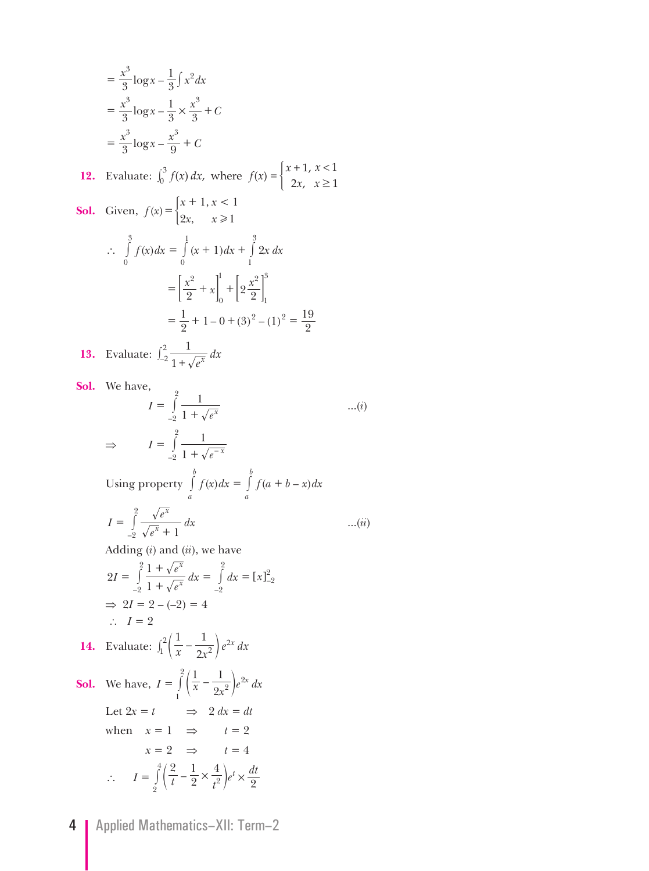$$
= \frac{x^3}{3} \log x - \frac{1}{3} \int x^2 dx
$$
  
\n
$$
= \frac{x^3}{3} \log x - \frac{1}{3} \times \frac{x^3}{3} + C
$$
  
\n
$$
= \frac{x^3}{3} \log x - \frac{x^3}{9} + C
$$
  
\n12. Evaluate:  $\int_0^3 f(x) dx$ , where  $f(x) = \begin{cases} x + 1, x < 1 \\ 2x, x \ge 1 \end{cases}$   
\n**Sol.** Given,  $f(x) = \begin{cases} x + 1, x < 1 \\ 2x, x \ge 1 \end{cases}$   
\n $\therefore \int_0^3 f(x) dx = \int_0^1 (x + 1) dx + \int_1^3 2x dx$   
\n
$$
= \left[ \frac{x^2}{2} + x \right]_0^1 + \left[ 2 \frac{x^2}{2} \right]_1^3
$$
  
\n
$$
= \frac{1}{2} + 1 - 0 + (3)^2 - (1)^2 = \frac{19}{2}
$$
  
\n13. Evaluate:  $\int_2^2 \frac{1}{1 + \sqrt{e^x}} dx$ 

*e*

**Sol.** We have,

$$
I = \int_{-2}^{2} \frac{1}{1 + \sqrt{e^x}}
$$
...(i)  
\n
$$
\Rightarrow I = \int_{-2}^{2} \frac{1}{1 + \sqrt{e^{-x}}}
$$
  
\nUsing property  $\int_{a}^{b} f(x) dx = \int_{a}^{b} f(a + b - x) dx$   
\n
$$
I = \int_{-2}^{2} \frac{\sqrt{e^x}}{\sqrt{e^x} + 1} dx
$$
...(ii)  
\nAdding (i) and (ii), we have

$$
2I = \int_{-2}^{2} \frac{1 + \sqrt{e^x}}{1 + \sqrt{e^x}} dx = \int_{-2}^{2} dx = [x]_{-2}^{2}
$$
  
\n
$$
\Rightarrow 2I = 2 - (-2) = 4
$$
  
\n
$$
\therefore I = 2
$$

**14.** Evaluate: 
$$
\int_1^2 \left(\frac{1}{x} - \frac{1}{2x^2}\right) e^{2x} dx
$$

**Sol.** We have,  $I = \int_{1}^{x} \left(\frac{x}{x} - \frac{2x^2}{2x^2}\right) e^{2x} dx$ 1  $-\frac{1}{2x^2}\bigg)e^{2x}$ 1  $=\int_{0}^{2} \left( \frac{1}{x} - \frac{1}{9x^2} \right)$ Let  $2x = t$   $\implies$   $2 dx = dt$ when  $x = 1 \Rightarrow t = 2$  $x = 2 \Rightarrow t = 4$  $I = \int_{2}^{4} \left( \frac{2}{t} - \frac{1}{2} \times \frac{4}{t^2} \right) e^t \times \frac{dt}{2}$ 2  $1 \times 4$  $\int_{2}^{t} \left( \frac{2}{t} - \frac{1}{2} \times \frac{1}{t^2} \right) e^t \times \frac{du}{2}$  $\therefore I = \int_0^4 \left( \frac{2}{t} - \frac{1}{2} \times \frac{4}{t^2} \right)$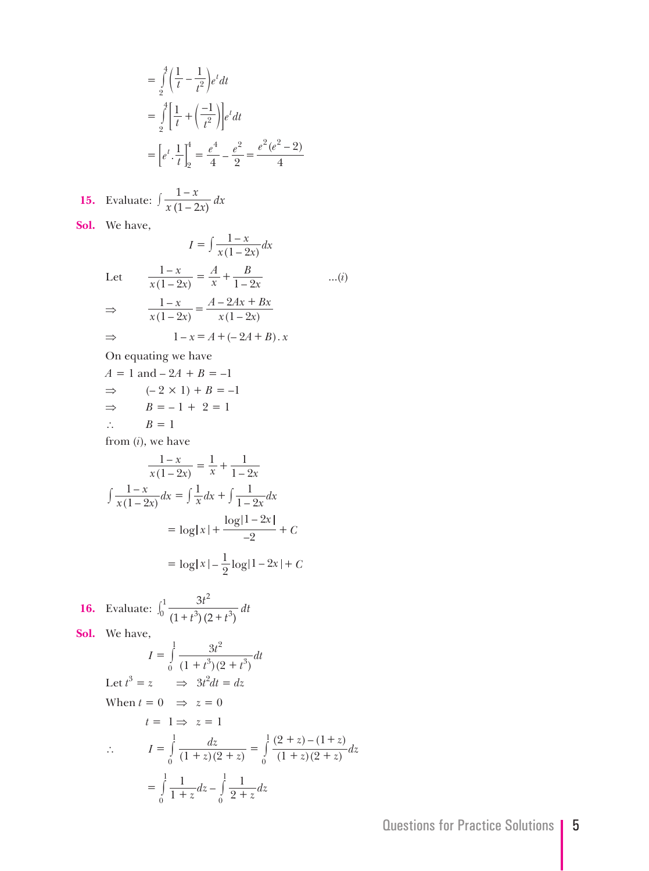$$
= \int_{2}^{4} \left(\frac{1}{t} - \frac{1}{t^{2}}\right) e^{t} dt
$$
  
= 
$$
\int_{2}^{4} \left[\frac{1}{t} + \left(\frac{-1}{t^{2}}\right)\right] e^{t} dt
$$
  
= 
$$
\left[e^{t} \cdot \frac{1}{t}\right]_{2}^{4} = \frac{e^{4}}{4} - \frac{e^{2}}{2} = \frac{e^{2}(e^{2} - 2)}{4}
$$

15. Evaluate: 
$$
\int \frac{1-x}{x(1-2x)} dx
$$

**Sol.** We have,

$$
I = \int \frac{1-x}{x(1-2x)} dx
$$
  
Let 
$$
\frac{1-x}{x(1-2x)} = \frac{A}{x} + \frac{B}{1-2x}
$$
...(
$$
\Rightarrow \frac{1-x}{x(1-2x)} = \frac{A-2Ax+ Bx}{x(1-2x)}
$$

$$
\Rightarrow 1-x = A + (-2A+B) \cdot x
$$

*i* )

On equating we have

 $A = 1$  and  $-2A + B = -1$  $\Rightarrow$   $(-2 \times 1) + B = -1$ ⇒  $B = -1 + 2 = 1$ ∴  $B = 1$ 

from ( *i*), we have

$$
\frac{1-x}{x(1-2x)} = \frac{1}{x} + \frac{1}{1-2x}
$$

$$
\int \frac{1-x}{x(1-2x)} dx = \int \frac{1}{x} dx + \int \frac{1}{1-2x} dx
$$

$$
= \log|x| + \frac{\log|1-2x|}{-2} + C
$$

$$
= \log|x| - \frac{1}{2}\log|1-2x| + C
$$

**16.** Evaluate: 
$$
\int_0^1 \frac{3t^2}{(1+t^3)(2+t^3)} dt
$$
  
\n**Sol.** We have,  
\n
$$
I = \int_0^1 \frac{3t^2}{(1+t^3)(2+t^3)} dt
$$
  
\nLet  $t^3 = z \implies 3t^2 dt = dz$   
\nWhen  $t = 0 \implies z = 0$   
\n $t = 1 \implies z = 1$   
\n $\therefore I = \int_0^1 \frac{dz}{(1+z)(2+z)} = \int_0^1 \frac{(2+z)-(1+z)}{(1+z)(2+z)} dz$   
\n $= \int_0^1 \frac{1}{1+z} dz - \int_0^1 \frac{1}{2+z} dz$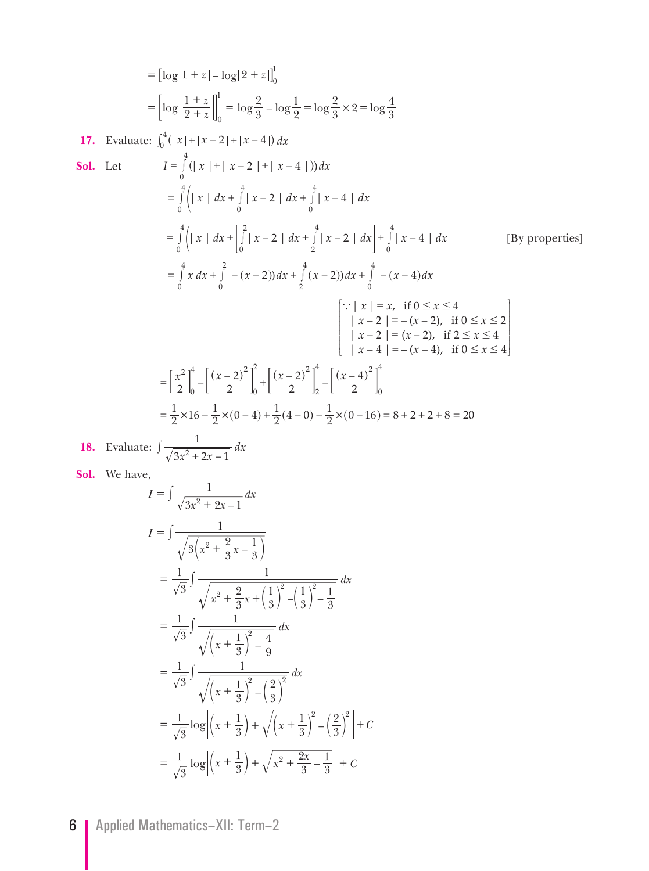$$
= [\log |1 + z| - \log |2 + z|]_0^1
$$
  
\n
$$
= [\log |\frac{1+z}{2+z}|]_0^1 = \log \frac{2}{3} - \log \frac{1}{2} = \log \frac{2}{3} \times 2 = \log \frac{4}{3}
$$
  
\n17. Evaluate:  $\int_0^4 (|x| + |x - 2| + |x - 4|) dx$   
\nSoI. Let  $I = \int_0^4 (|x| + |x - 2| + |x - 4|) dx$   
\n
$$
= \int_0^4 (|x| + |x - 2| + |x - 4|) dx
$$
  
\n
$$
= \int_0^4 (|x| + |x - 2| + |x - 4|) dx
$$
  
\n
$$
= \int_0^4 (|x| + |x - 2| + |x - 4|) dx
$$
  
\n
$$
= \int_0^4 (|x| + |x - 2| + |x - 4|) dx
$$
  
\n
$$
= \int_0^4 (|x| + |x - 2| + |x - 4|) dx
$$
  
\n
$$
= \int_0^4 (|x| + |x - 2| + |x - 4|) dx
$$
  
\n
$$
= \int_0^4 (|x| + |x - 2| + |x - 4|) dx
$$
  
\n
$$
= \int_0^4 (|x| + |x - 2| + |x - 4|) dx
$$
  
\n
$$
= \int_0^4 (|x| + |x - 2| + |x - 4|) dx
$$
  
\n
$$
= \int_0^4 (|x| + |x - 2| + |x - 4|) dx
$$
  
\n
$$
= \int_0^4 (|x| + |x - 2| + |x - 4|) dx
$$
  
\n
$$
= \int_0^4 (|x| + |x - 2| + |x - 4|) dx
$$
  
\n
$$
= \int_0^4 (|x| + |x - 2| + |x - 4|) dx
$$
  
\n
$$
= \int_0^4 (|x| + |x - 2| + |x - 4|) dx
$$
  
\n
$$
= \int_0^4 (|x| + |x - 2| + |x - 4|) dx
$$

**18.** Evaluate:  $\int \frac{1}{\sqrt{3x^2+2x-1}} dx$ 

**Sol.** We have,

$$
I = \int \frac{1}{\sqrt{3x^2 + 2x - 1}} dx
$$
  
\n
$$
I = \int \frac{1}{\sqrt{3(x^2 + \frac{2}{3}x - \frac{1}{3})}}
$$
  
\n
$$
= \frac{1}{\sqrt{3}} \int \frac{1}{\sqrt{x^2 + \frac{2}{3}x + (\frac{1}{3})^2 - (\frac{1}{3})^2 - \frac{1}{3}}} dx
$$
  
\n
$$
= \frac{1}{\sqrt{3}} \int \frac{1}{\sqrt{(x + \frac{1}{3})^2 - \frac{4}{9}}} dx
$$
  
\n
$$
= \frac{1}{\sqrt{3}} \int \frac{1}{\sqrt{(x + \frac{1}{3})^2 - (\frac{2}{3})^2}} dx
$$
  
\n
$$
= \frac{1}{\sqrt{3}} \log \left| (x + \frac{1}{3}) + \sqrt{(x + \frac{1}{3})^2 - (\frac{2}{3})^2} \right| + C
$$
  
\n
$$
= \frac{1}{\sqrt{3}} \log \left| (x + \frac{1}{3}) + \sqrt{x^2 + \frac{2x}{3} - \frac{1}{3}} \right| + C
$$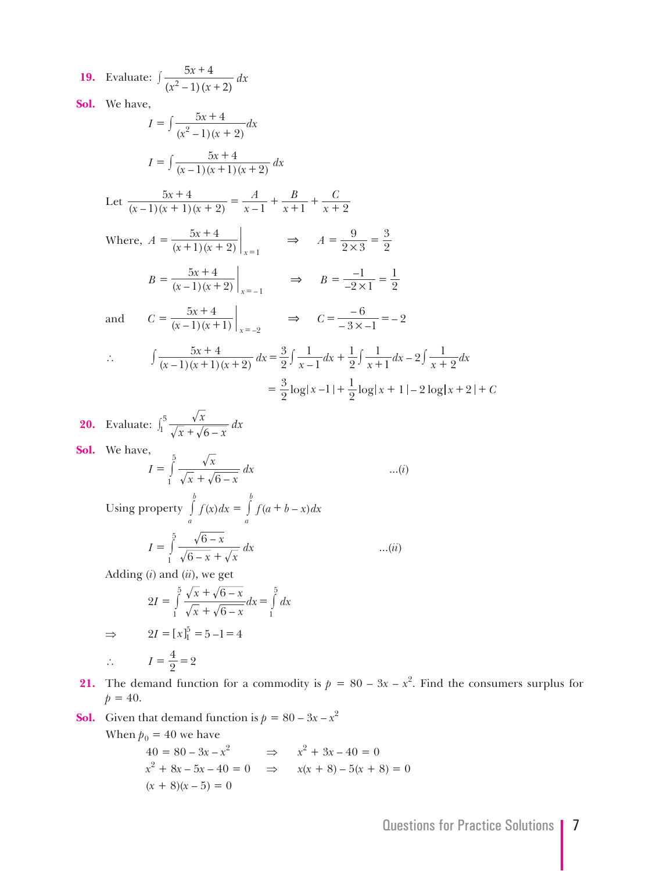**19.** Evaluate:  $(x^2 - 1)(x + 2)$  $\frac{x+4}{y}$  *dx* 1)  $(x + 2)$  $5x + 4$  $^{2}-1(x+$  $\int \frac{5x+}{x^2}$ **Sol.** We have,  $I = \int \frac{3x+1}{(x^2-1)(x+2)}$  $(x^2 - 1)(x)$  $\frac{x+4}{x}$  *dx*  $1(x + 2)$  $= \int \frac{5x+4}{(x^2-1)(x+4)}$  $I = \int \frac{5x+4}{(x-1)(x+1)(x+2)} dx$ Let  $\frac{5x+4}{(x-1)(x+1)(x+2)}$ *x A x B x C*  $1(x + 1)(x + 2)$  $5x + 4$  $\frac{5x+4}{-1(x+1)(x+2)} = \frac{A}{x-1} + \frac{B}{x+1} + \frac{C}{x+2}$ Where,  $A = \frac{5x+4}{(x+1)(x+2)}\Big|_{x=1} \implies A$  $2 \times 3$ 9 2  $=\frac{5x+4}{(x+1)(x+2)}\Big|_{x=1}$   $\Rightarrow$   $A=\frac{9}{2\times 3}=\frac{3}{2}$ =  $B = \frac{5x+4}{(x-1)(x+2)}\Big|_{x=-1}$   $\Rightarrow$  *B*  $2 \times 1$ 1 2 1  $(-1)(x+2)\Big|_{x=-1}$   $-2 \times$ –  $=\frac{5x+4}{(x-1)(x+2)}\Big|_{x=-1}$   $\Rightarrow B=\frac{-1}{-2\times 1}=$ = and  $C = \frac{5x+4}{(x-1)(x+1)}\Big|_{x=-3}$   $\Rightarrow C = \frac{-6}{-3x-1} = \left.\frac{5x+4}{-1(x+1)}\right|_{x=-2} \Rightarrow C = \frac{-6}{-3x-1} = -2$  $=\frac{5x+4}{(x-1)(x+1)}\Big|_{x=-2}$   $\Rightarrow$   $C=\frac{-6}{-3\times-1}$ = ∴  $\int \frac{5x+4}{(x-1)(x+1)(x+2)} dx = \frac{3}{2} \int \frac{1}{x-1} dx + \frac{1}{2} \int \frac{1}{x+1} dx - 2 \int \frac{1}{x+2} dx$ 2 3 1 1 2 1  $\frac{1}{1}dx-2\int \frac{1}{x+2}$  $\int \frac{5x+4}{(x-1)(x+1)(x+2)} dx = \frac{3}{2} \int \frac{1}{x-1} dx + \frac{1}{2} \int \frac{1}{x+1} dx - 2 \int \frac{1}{x+1} dx$  $=$   $\frac{3}{2}$  log  $|x-1|$  +  $\frac{1}{2}$  log  $|x+1|$  – 2 log  $|x+2|$  + C

**20.** Evaluate: 
$$
\int_{1}^{5} \frac{\sqrt{x}}{\sqrt{x} + \sqrt{6 - x}} dx
$$

**Sol.** We have,

$$
I = \int_{1}^{5} \frac{\sqrt{x}}{\sqrt{x} + \sqrt{6 - x}} dx
$$
 ...(i)

Using property  $\int f(x) dx = \int f(a+b-x) dx$ *a b a*  $\int_a^b f(x)dx = \int_a^b f(a+$  *I x dx* 6 – 5

$$
I = \int_{1}^{\infty} \frac{\sqrt{6-x}}{\sqrt{6-x} + \sqrt{x}} dx
$$
 ...(ii)

Adding (*i*) and (*ii*), we get

$$
2I = \int_{1}^{5} \frac{\sqrt{x} + \sqrt{6 - x}}{\sqrt{x} + \sqrt{6 - x}} dx = \int_{1}^{5} dx
$$
  

$$
\implies 2I = [x]_{1}^{5} = 5 - 1 = 4
$$

$$
\therefore \qquad I = \frac{4}{2} = 2
$$

- **21.** The demand function for a commodity is  $p = 80 3x x^2$ . Find the consumers surplus for  $p = 40.$
- **Sol.** Given that demand function is  $p = 80 3x x^2$ When  $p_0 = 40$  we have

$$
x^{2} + 8x - 5x - 40 = 0 \Rightarrow x^{2} + 3x - 40 = 0
$$
  

$$
x^{2} + 8x - 5x - 40 = 0 \Rightarrow x(x + 8) - 5(x + 8) = 0
$$
  

$$
(x + 8)(x - 5) = 0
$$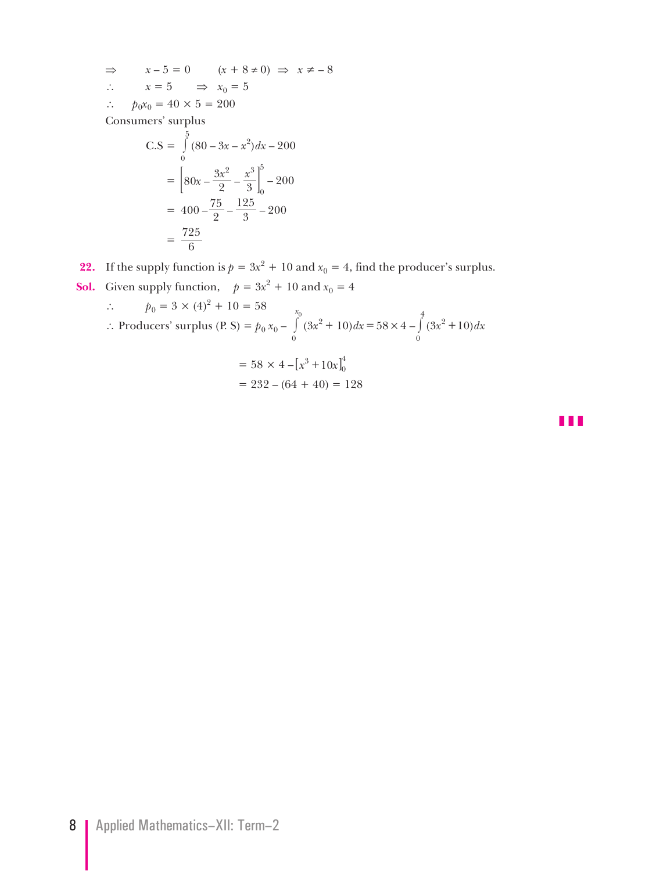$$
\Rightarrow \quad x - 5 = 0 \quad (x + 8 \neq 0) \Rightarrow x \neq -8
$$
  
\n
$$
\therefore \quad x = 5 \quad \Rightarrow x_0 = 5
$$
  
\n
$$
\therefore \quad p_0 x_0 = 40 \times 5 = 200
$$

Consumers' surplus

$$
C.S = \int_{0}^{5} (80 - 3x - x^{2}) dx - 200
$$

$$
= \left[ 80x - \frac{3x^{2}}{2} - \frac{x^{3}}{3} \right]_{0}^{5} - 200
$$

$$
= 400 - \frac{75}{2} - \frac{125}{3} - 200
$$

$$
= \frac{725}{6}
$$

**22.** If the supply function is  $p = 3x^2 + 10$  and  $x_0 = 4$ , find the producer's surplus.

**Sol.** Given supply function,  $p = 3x^2 + 10$  and  $x_0 = 4$ 

$$
\therefore p_0 = 3 \times (4)^2 + 10 = 58
$$
  
\n
$$
\therefore \text{ Products' surplus (P. S)} = p_0 x_0 - \int_0^{x_0} (3x^2 + 10) dx = 58 \times 4 - \int_0^4 (3x^2 + 10) dx
$$
  
\n
$$
= 58 \times 4 - [x^3 + 10x]_0^4
$$
  
\n
$$
= 232 - (64 + 40) = 128
$$

z z z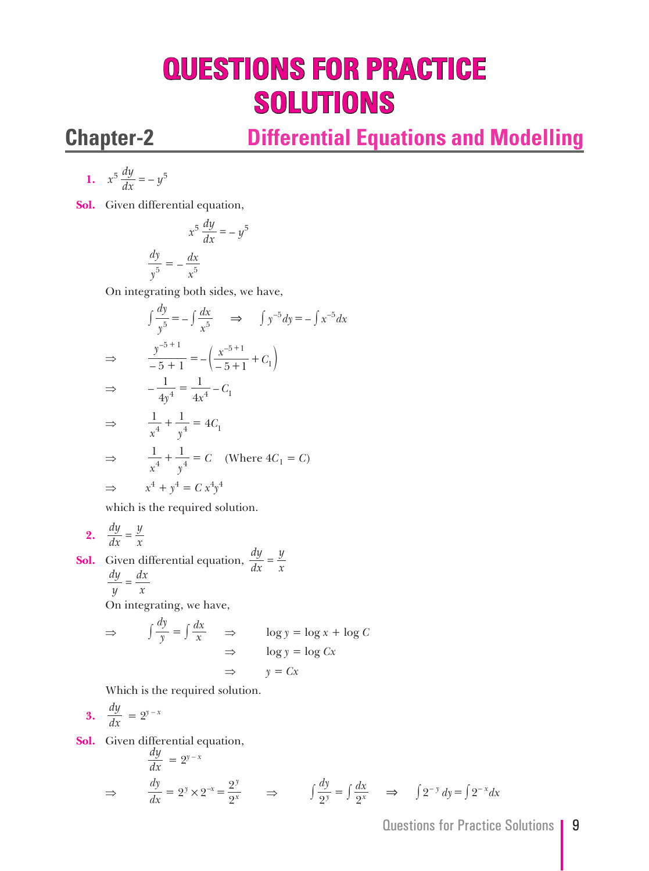# **QUESTIONS FOR PRACTICE SOLUTIONS**

 $\frac{1}{y}$ 

## **Chapter-2 Differential Equations and Modelling**

$$
1. \quad x^5 \frac{dy}{dx} = -y^5
$$

**Sol.** Given differential equation,

$$
x^5 \frac{dy}{dx} = -y^5
$$

$$
\frac{dy}{y^5} = -\frac{dx}{x^5}
$$

On integrating both sides, we have,

$$
\int \frac{dy}{y^5} = -\int \frac{dx}{x^5} \quad \Rightarrow \quad \int y^{-5} dy = -\int x^{-5} dx
$$
  
\n
$$
\Rightarrow \quad \frac{y^{-5+1}}{-5+1} = -\left(\frac{x^{-5+1}}{-5+1} + C_1\right)
$$
  
\n
$$
\Rightarrow \quad -\frac{1}{4y^4} = \frac{1}{4x^4} - C_1
$$
  
\n
$$
\Rightarrow \quad \frac{1}{x^4} + \frac{1}{y^4} = 4C_1
$$
  
\n
$$
\Rightarrow \quad \frac{1}{x^4} + \frac{1}{y^4} = C \quad (\text{Where } 4C_1 = C)
$$
  
\n
$$
\Rightarrow \quad x^4 + y^4 = C \ x^4 y^4
$$

which is the required solution.

$$
2. \quad \frac{dy}{dx} = \frac{y}{x}
$$

**Sol.** Given differential equation, *dx dy*  $\frac{y}{x}$  *<sup>y</sup> dy*  $=\frac{dx}{x}$ 

On integrating, we have,

$$
\Rightarrow \qquad \int \frac{dy}{y} = \int \frac{dx}{x} \qquad \Rightarrow \qquad \log y = \log x + \log C
$$

$$
\Rightarrow \qquad \log y = \log Cx
$$

$$
\Rightarrow \qquad y = Cx
$$

Which is the required solution.

$$
3. \quad \frac{dy}{dx} = 2^{y-x}
$$

**Sol.** Given differential equation,

$$
\frac{dy}{dx} = 2^{y-x}
$$
\n
$$
\Rightarrow \quad \frac{dy}{dx} = 2^y \times 2^{-x} = \frac{2^y}{2^x} \quad \Rightarrow \quad \int \frac{dy}{2^y} = \int \frac{dx}{2^x} \quad \Rightarrow \quad \int 2^{-y} dy = \int 2^{-x} dx
$$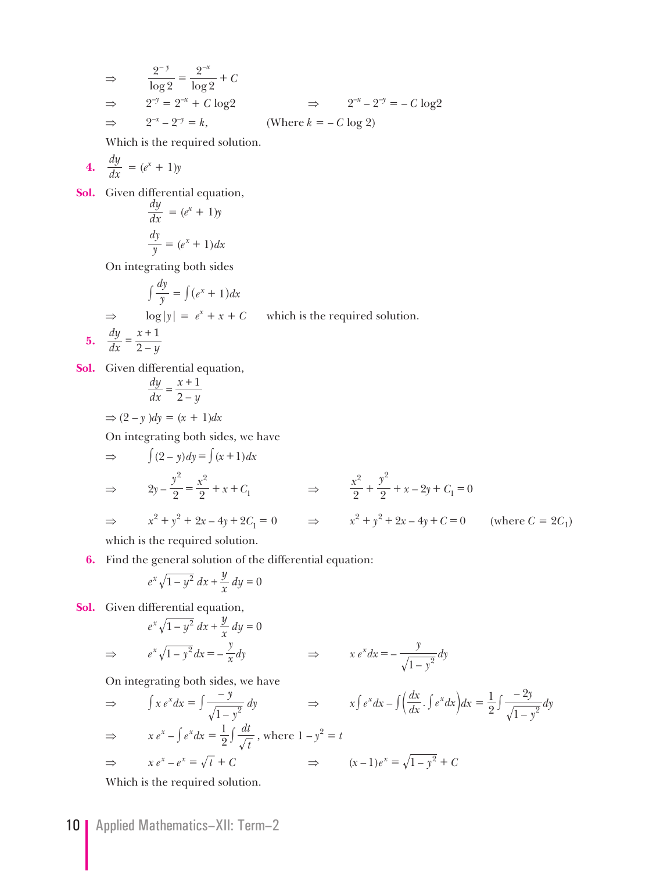$$
\Rightarrow \frac{2^{-y}}{\log 2} = \frac{2^{-x}}{\log 2} + C
$$
  
\n
$$
\Rightarrow 2^{-y} = 2^{-x} + C \log 2 \Rightarrow 2^{-x} - 2^{-y} = -C \log 2
$$
  
\n
$$
\Rightarrow 2^{-x} - 2^{-y} = k, \qquad \text{(Where } k = -C \log 2)
$$

Which is the required solution.

$$
4. \quad \frac{dy}{dx} = (e^x + 1)y
$$

**Sol.** Given differential equation,

$$
\frac{dy}{dx} = (e^x + 1)y
$$

$$
\frac{dy}{y} = (e^x + 1)dx
$$

On integrating both sides

$$
\int \frac{dy}{y} = \int (e^x + 1) dx
$$
  
\n
$$
\Rightarrow \log|y| = e^x + x + C \quad \text{which is the required}
$$
  
\n5. 
$$
\frac{dy}{dx} = \frac{x+1}{2-y}
$$

**Sol.** Given differential equation,

$$
\frac{dy}{dx} = \frac{x+1}{2-y}
$$

 $\Rightarrow$  (2 – *y*) $dy = (x + 1)dx$ 

On integrating both sides, we have

$$
\Rightarrow \qquad \int (2 - y) dy = \int (x + 1) dx
$$
  
\n
$$
\Rightarrow \qquad 2y - \frac{y^2}{2} = \frac{x^2}{2} + x + C_1 \qquad \Rightarrow \qquad \frac{x^2}{2} + \frac{y^2}{2} + x - 2y + C_1 = 0
$$
  
\n
$$
\Rightarrow \qquad x^2 + y^2 + 2x - 4y + 2C_1 = 0 \qquad \Rightarrow \qquad x^2 + y^2 + 2x - 4y + C = 0 \qquad \text{(where } C = 2C_1\text{)}
$$

 $solution.$ 

which is the required solution.

**6.** Find the general solution of the differential equation:

$$
e^x \sqrt{1 - y^2} \, dx + \frac{y}{x} \, dy = 0
$$

**Sol.** Given differential equation,

$$
e^{x}\sqrt{1-y^{2}} dx + \frac{y}{x} dy = 0
$$
  
\n
$$
\Rightarrow \qquad e^{x}\sqrt{1-y^{2}} dx = -\frac{y}{x} dy
$$
  
\n
$$
\Rightarrow \qquad x e^{x} dx = -\frac{y}{\sqrt{1-y^{2}}} dy
$$

On integrating both sides, we have

$$
\Rightarrow \qquad \int x e^x dx = \int \frac{-y}{\sqrt{1 - y^2}} dy \qquad \Rightarrow \qquad x \int e^x dx - \int \left(\frac{dx}{dx} \cdot \int e^x dx\right) dx = \frac{1}{2} \int \frac{-2y}{\sqrt{1 - y^2}} dy
$$
  

$$
\Rightarrow \qquad x e^x - \int e^x dx = \frac{1}{2} \int \frac{dt}{\sqrt{t}}, \text{ where } 1 - y^2 = t
$$
  

$$
\Rightarrow \qquad x e^x - e^x = \sqrt{t} + C \qquad \Rightarrow \qquad (x - 1)e^x = \sqrt{1 - y^2} + C
$$

Which is the required solution.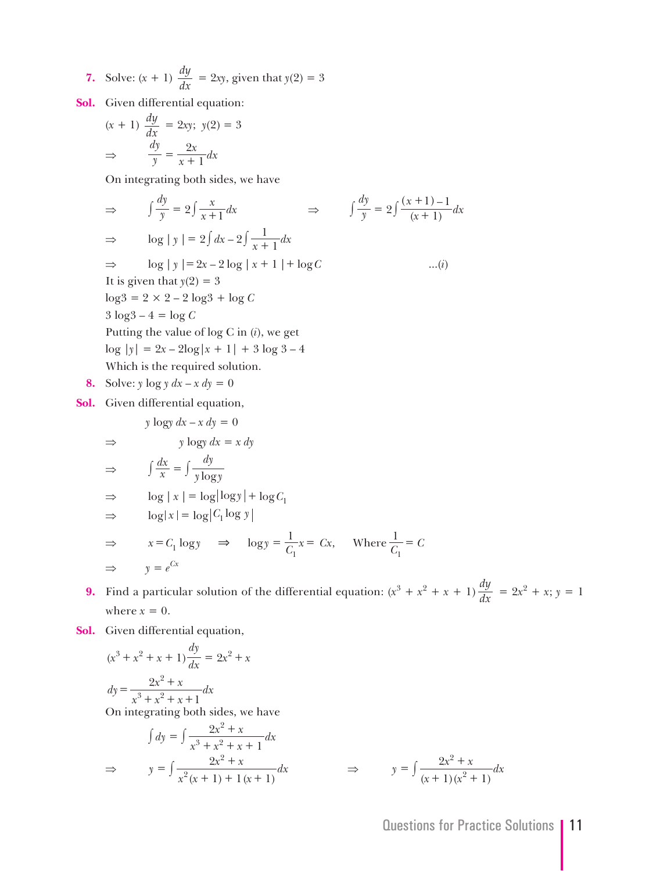7. Solve: 
$$
(x + 1) \frac{dy}{dx} = 2xy
$$
, given that  $y(2) = 3$ 

**Sol.** Given differential equation:

$$
(x + 1) \frac{dy}{dx} = 2xy; \ y(2) = 3
$$

$$
\Rightarrow \frac{dy}{y} = \frac{2x}{x + 1} dx
$$

On integrating both sides, we have

$$
\Rightarrow \int \frac{dy}{y} = 2 \int \frac{x}{x+1} dx \Rightarrow \int \frac{dy}{y} = 2 \int \frac{(x+1)-1}{(x+1)} dx
$$
  
\n
$$
\Rightarrow \log |y| = 2 \int dx - 2 \int \frac{1}{x+1} dx
$$
  
\n
$$
\Rightarrow \log |y| = 2x - 2 \log |x+1| + \log C \qquad ...(i)
$$
  
\nIt is given that  $y(2) = 3$   
\n $\log 3 = 2 \times 2 - 2 \log 3 + \log C$   
\n $3 \log 3 - 4 = \log C$   
\nPutting the value of  $\log C$  in (i), we get  
\n $\log |y| = 2x - 2\log |x+1| + 3 \log 3 - 4$   
\nWhich is the required solution.  
\n8. Solve:  $y \log y dx - x dy = 0$ 

**Sol.** Given differential equation,

$$
y \log y \, dx - x \, dy = 0
$$
  
\n
$$
\Rightarrow \qquad y \log y \, dx = x \, dy
$$
  
\n
$$
\Rightarrow \qquad \int \frac{dx}{x} = \int \frac{dy}{y \log y}
$$
  
\n
$$
\Rightarrow \qquad \log |x| = \log |\log y| + \log C_1
$$
  
\n
$$
\Rightarrow \qquad \log |x| = \log |C_1 \log y|
$$
  
\n
$$
\Rightarrow \qquad x = C_1 \log y \qquad \Rightarrow \qquad \log y = \frac{1}{C_1} x = Cx, \qquad \text{Where } \frac{1}{C_1} = C
$$
  
\n
$$
\Rightarrow \qquad y = e^{Cx}
$$

- **9.** Find a particular solution of the differential equation:  $(x^3 + x^2 + x + 1) \frac{dy}{dx} = 2x^2 + x$ ;  $y = 1$ where  $x = 0$ .
- **Sol.** Given differential equation,

⇒  $y = \int \frac{2x + 4x}{x^2(x + 1) + 1(x + 1)}$ 

2

$$
(x3 + x2 + x + 1)\frac{dy}{dx} = 2x2 + x
$$
  
\n
$$
dy = \frac{2x2 + x}{x3 + x2 + x + 1} dx
$$
  
\nOn integrating both sides, we have  
\n
$$
\int dy = \int \frac{2x2 + x}{x3 + x2 + x + 1} dx
$$
  
\n
$$
\Rightarrow y = \int \frac{2x2 + x}{x2(x + 1) + 1(x + 1)} dx
$$

 $1) + 1(x + 1)$ 

$$
\Rightarrow \qquad y = \int \frac{2x^2 + x}{(x+1)(x^2+1)} dx
$$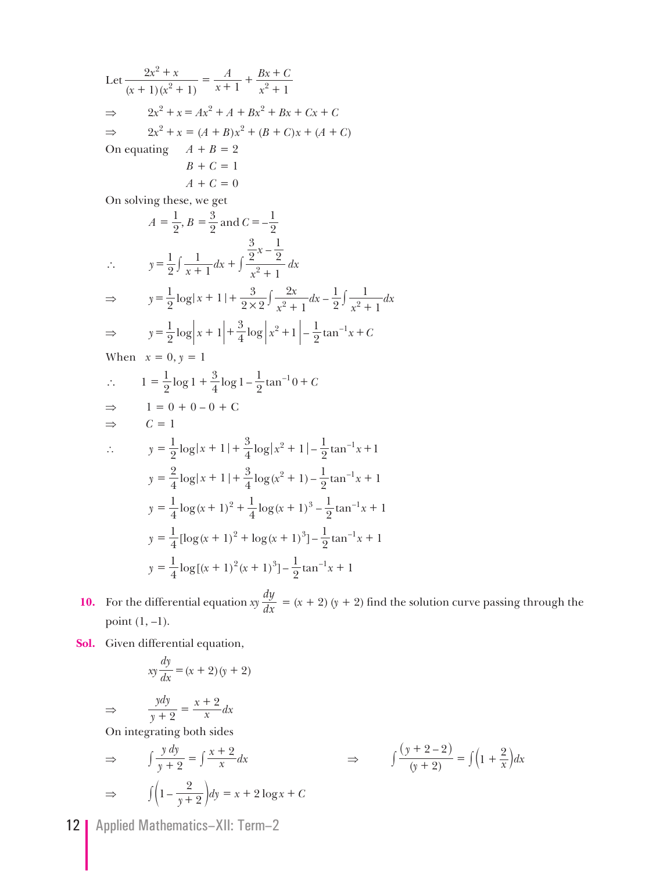Let  $(x + 1)(x^2 + 1)$  $x^2 + x$ *x A x*  $Bx + C$  $1(x^2+1)$ 2  $(x^2+1)$   $x+1$   $x^2+1$ 2  $\frac{2x^2 + x}{x^2 + 1} = \frac{A}{x+1} + \frac{Bx}{x^2}$ + +  $\Rightarrow 2x^2 + x = Ax^2 + A + Bx^2 + Bx + Cx + C$  $\Rightarrow$  2*x*<sup>2</sup> + *x* = (*A* + *B*)*x*<sup>2</sup> + (*B* + *C*)*x* + (*A* + *C*) On equating  $A + B = 2$  $B + C = 1$  $A + C = 0$  On solving these, we get  $A = \frac{1}{2}$ ,  $B = \frac{3}{2}$  and  $C = -$ 2 3  $=\frac{1}{2}$ ,  $B = \frac{3}{2}$  and  $C = -\frac{1}{2}$  $\therefore$   $y = \frac{1}{2} \int \frac{1}{x+1} dx$ *x x*  $\frac{1}{2}\int \frac{1}{x+1}dx + \int \frac{2^{x^2} - 2}{x^2 + 1}dx$ 1 1 1 2 3  $-\frac{1}{2}$  $\therefore$   $y = \frac{1}{2} \int \frac{1}{x+1} dx + \int \frac{2}{x^2 + 1} dx$  $\Rightarrow$   $y = \frac{1}{9} \log |x|$ *x*  $\frac{x}{dx}$  *dx*  $\frac{1}{2}$ log|x + 1|+  $\frac{3}{2 \times 2}$  $\int \frac{2x}{x^2 + 1} dx - \frac{1}{2} \int \frac{1}{x^2 + 1} dx$ 1 2 2 1 1  $=\frac{1}{2}\log|x+1|+\frac{3}{2\times2}\int\frac{2x}{x^2+1}dx-\frac{1}{2}\int\frac{1}{x^2+1}dx$ ⇒  $y = \frac{1}{2} \log |x + 1| + \frac{3}{4} \log |x^2 + 1| - \frac{1}{2} \tan^{-1} x + C$ When  $x = 0, y = 1$  $1 = \frac{1}{2} \log 1 + \frac{3}{4} \log 1 - \frac{1}{2} \tan^{-1} 0 + C$ ⇒  $1 = 0 + 0 - 0 + C$  $\Rightarrow$  *C* = 1

$$
y = \frac{1}{2}\log|x+1| + \frac{3}{4}\log|x^2+1| - \frac{1}{2}\tan^{-1}x + 1
$$
  
\n
$$
y = \frac{2}{4}\log|x+1| + \frac{3}{4}\log(x^2+1) - \frac{1}{2}\tan^{-1}x + 1
$$
  
\n
$$
y = \frac{1}{4}\log(x+1)^2 + \frac{1}{4}\log(x+1)^3 - \frac{1}{2}\tan^{-1}x + 1
$$
  
\n
$$
y = \frac{1}{4}[\log(x+1)^2 + \log(x+1)^3] - \frac{1}{2}\tan^{-1}x + 1
$$
  
\n
$$
y = \frac{1}{4}\log[(x+1)^2(x+1)^3] - \frac{1}{2}\tan^{-1}x + 1
$$

**10.** For the differential equation  $xy \frac{dy}{dx} = (x + 2)(y + 2)$  find the solution curve passing through the point  $(1, -1)$ .

**Sol.** Given differential equation,

$$
xy\frac{dy}{dx} = (x+2)(y+2)
$$

 ⇒ *y ydy*  $\frac{ydy}{x+2} = \frac{x+2}{x}dx$ 

On integrating both sides

$$
\Rightarrow \qquad \int \frac{y \, dy}{y+2} = \int \frac{x+2}{x} dx \qquad \Rightarrow \qquad \int \frac{(y+2-2)}{(y+2)} = \int (1+\frac{2}{x}) dx
$$

$$
\Rightarrow \qquad \int \left(1-\frac{2}{y+2}\right) dy = x+2 \log x + C
$$

12 | Applied Mathematics-XII: Term-2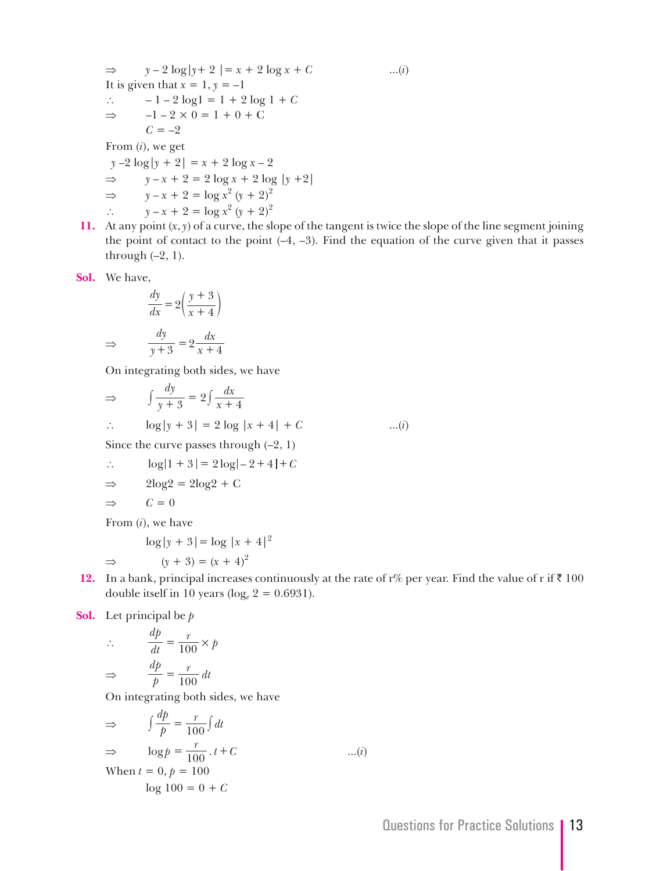$$
\Rightarrow y - 2 \log |y + 2| = x + 2 \log x + C
$$
...(i)  
\nIt is given that  $x = 1, y = -1$   
\n
$$
\therefore -1 - 2 \log 1 = 1 + 2 \log 1 + C
$$
  
\n
$$
\Rightarrow -1 - 2 \times 0 = 1 + 0 + C
$$
  
\n
$$
C = -2
$$
  
\nFrom (i), we get  
\n
$$
y - 2 \log |y + 2| = x + 2 \log x - 2
$$
  
\n
$$
\Rightarrow y - x + 2 = 2 \log x + 2 \log |y + 2|
$$
  
\n
$$
\Rightarrow y - x + 2 = \log x^2 (y + 2)^2
$$
  
\n
$$
\therefore y - x + 2 = \log x^2 (y + 2)^2
$$

**11.** At any point (*x*, *y*) of a curve, the slope of the tangent is twice the slope of the line segment joining the point of contact to the point  $(-4, -3)$ . Find the equation of the curve given that it passes through  $(-2, 1)$ .

**Sol.** We have,

$$
\frac{dy}{dx} = 2\left(\frac{y+3}{x+4}\right)
$$

$$
\implies \qquad \frac{dy}{y+3} = 2\frac{dx}{x+4}
$$

On integrating both sides, we have

$$
\Rightarrow \qquad \int \frac{dy}{y+3} = 2 \int \frac{dx}{x+4}
$$
  
\n
$$
\therefore \qquad \log|y+3| = 2 \log|x+4| + C \qquad ...(i)
$$
  
\nSince the curve passes through (-2, 1)  
\n
$$
\therefore \qquad \log|1+3| = 2 \log|-2+4| + C
$$
  
\n
$$
\Rightarrow \qquad 2 \log 2 = 2 \log 2 + C
$$

$$
\Rightarrow \qquad C = 0
$$

From (*i*), we have

$$
\log|y + 3| = \log |x + 4|^2
$$

 $\Rightarrow$   $(y + 3) = (x + 4)^2$ 

12. In a bank, principal increases continuously at the rate of r% per year. Find the value of r if  $\bar{x}$  100 double itself in 10 years ( $log_e 2 = 0.6931$ ).

**Sol.** Let principal be *p*

$$
\therefore \frac{dp}{dt} = \frac{r}{100} \times p
$$

$$
\Rightarrow \frac{dp}{p} = \frac{r}{100} dt
$$

On integrating both sides, we have

$$
\Rightarrow \qquad \int \frac{dp}{p} = \frac{r}{100} \int dt
$$
  

$$
\Rightarrow \qquad \log p = \frac{r}{100} \cdot t + C \qquad ...(i)
$$
  
When  $t = 0, p = 100$   

$$
\log 100 = 0 + C
$$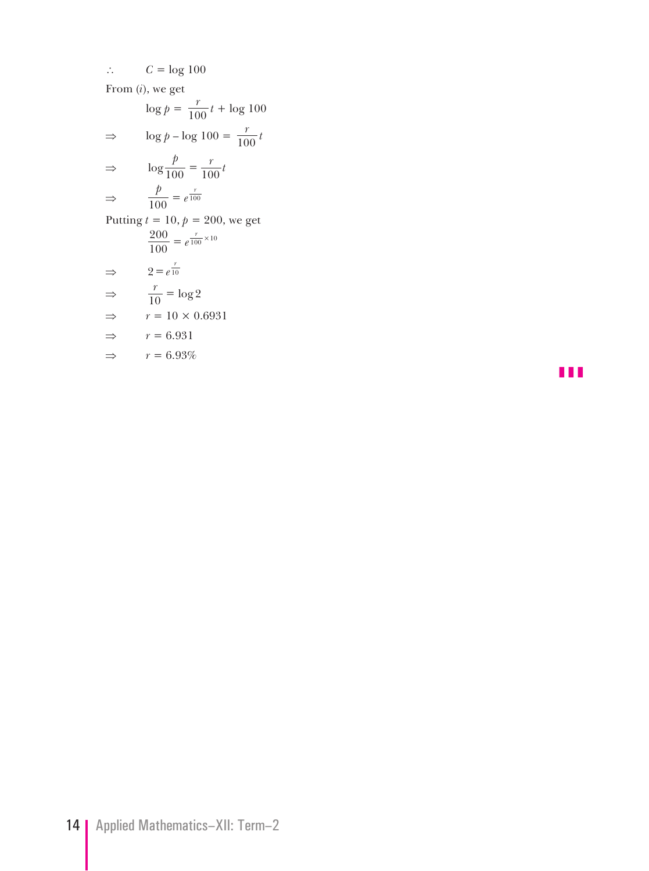∴  $C = log 100$ 

From (*i*), we get

$$
\log p = \frac{r}{100}t + \log 100
$$
  
\n
$$
\Rightarrow \log p - \log 100 = \frac{r}{100}t
$$
  
\n
$$
\Rightarrow \log \frac{p}{100} = \frac{r}{100}t
$$
  
\n
$$
\Rightarrow \frac{p}{100} = e^{\frac{r}{100}}
$$
  
\nPutting  $t = 10$ ,  $p = 200$ , we get  
\n
$$
\frac{200}{100} = e^{\frac{r}{100} \times 10}
$$
  
\n
$$
\Rightarrow 2 = e^{\frac{r}{10}}
$$
  
\n
$$
\Rightarrow \frac{r}{10} = \log 2
$$
  
\n
$$
\Rightarrow r = 10 \times 0.6931
$$
  
\n
$$
\Rightarrow r = 6.931
$$
  
\n
$$
\Rightarrow r = 6.93\%
$$

z z z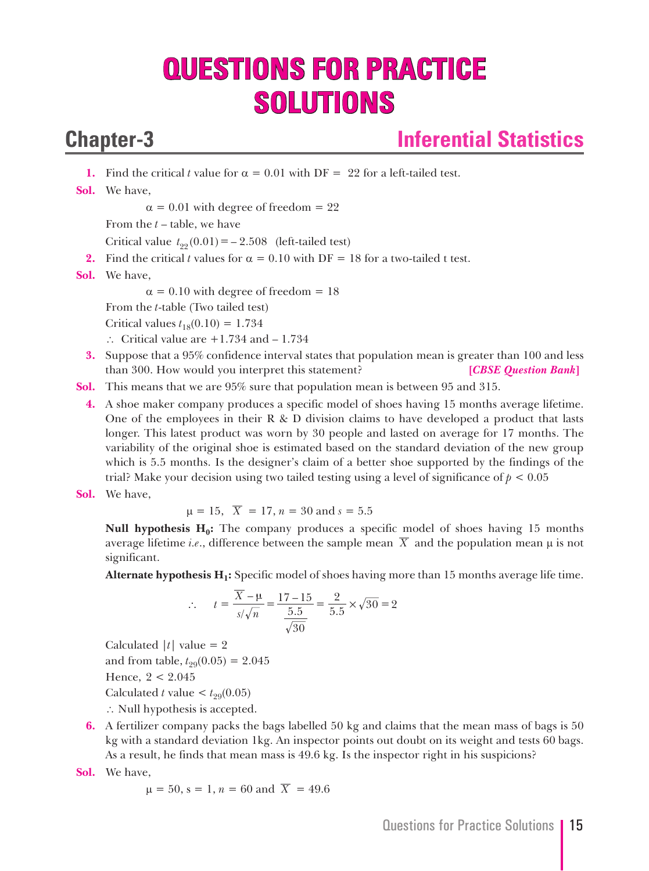# **QUESTIONS FOR PRACTICE SOLUTIONS**

## **Chapter-3 Inferential Statistics**

**1.** Find the critical *t* value for  $\alpha = 0.01$  with DF = 22 for a left-tailed test.

**Sol.** We have,

 $\alpha$  = 0.01 with degree of freedom = 22

From the *t* – table, we have

Critical value  $t_{.99}(0.01) = -2.508$  (left-tailed test)

- **2.** Find the critical *t* values for  $\alpha = 0.10$  with DF = 18 for a two-tailed t test.
- **Sol.** We have,

 $\alpha$  = 0.10 with degree of freedom = 18

From the *t*-table (Two tailed test)

Critical values  $t_{18}(0.10) = 1.734$ 

- ∴ Critical value are +1.734 and 1.734
- **3.** Suppose that a 95% confidence interval states that population mean is greater than 100 and less than 300. How would you interpret this statement? **[***CBSE Question Bank***]**
- **Sol.** This means that we are 95% sure that population mean is between 95 and 315.
	- **4.** A shoe maker company produces a specific model of shoes having 15 months average lifetime. One of the employees in their  $R \& D$  division claims to have developed a product that lasts longer. This latest product was worn by 30 people and lasted on average for 17 months. The variability of the original shoe is estimated based on the standard deviation of the new group which is 5.5 months. Is the designer's claim of a better shoe supported by the findings of the trial? Make your decision using two tailed testing using a level of significance of  $p < 0.05$
- **Sol.** We have,

$$
\mu = 15
$$
,  $\overline{X} = 17$ ,  $n = 30$  and  $s = 5.5$ 

**Null hypothesis H<sub>0</sub>:** The company produces a specific model of shoes having 15 months average lifetime *i.e.*, difference between the sample mean  $\overline{X}$  and the population mean  $\mu$  is not significant.

 **Alternate hypothesis H1:** Specific model of shoes having more than 15 months average life time.

$$
\therefore \qquad t = \frac{\overline{X} - \mu}{s/\sqrt{n}} = \frac{17 - 15}{\frac{5.5}{\sqrt{30}}} = \frac{2}{5.5} \times \sqrt{30} = 2
$$

Calculated  $|t|$  value = 2 and from table,  $t_{29}(0.05) = 2.045$  Hence, 2 < 2.045 Calculated *t* value  $lt$   $t_{99}(0.05)$ ∴ Null hypothesis is accepted.

**6.** A fertilizer company packs the bags labelled 50 kg and claims that the mean mass of bags is 50 kg with a standard deviation 1kg. An inspector points out doubt on its weight and tests 60 bags. As a result, he finds that mean mass is 49.6 kg. Is the inspector right in his suspicions?

**Sol.** We have,

$$
\mu = 50
$$
, s = 1, n = 60 and  $\overline{X}$  = 49.6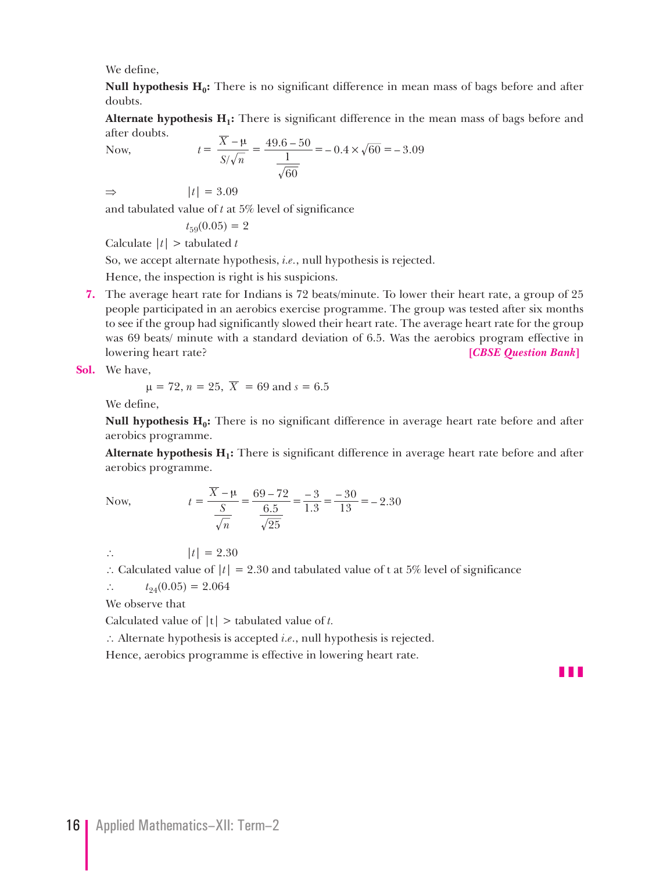We define,

**Null hypothesis H<sub>0</sub>:** There is no significant difference in mean mass of bags before and after doubts.

**Alternate hypothesis**  $H_1$ **:** There is significant difference in the mean mass of bags before and after doubts.

Now, 
$$
t = \frac{\overline{X} - \mu}{S/\sqrt{n}} = \frac{49.6 - 50}{\frac{1}{\sqrt{60}}} = -0.4 \times \sqrt{60} = -3.09
$$

 $\Rightarrow$   $|t| = 3.09$ 

and tabulated value of *t* at 5% level of significance

$$
t_{59}(0.05) = 2
$$

Calculate |*t*| > tabulated *t*

So, we accept alternate hypothesis, *i.e.*, null hypothesis is rejected.

Hence, the inspection is right is his suspicions.

**7.** The average heart rate for Indians is 72 beats/minute. To lower their heart rate, a group of 25 people participated in an aerobics exercise programme. The group was tested after six months to see if the group had significantly slowed their heart rate. The average heart rate for the group was 69 beats/ minute with a standard deviation of 6.5. Was the aerobics program effective in lowering heart rate? **[***CBSE Question Bank***]**

**Sol.** We have,

$$
\mu = 72, n = 25, \overline{X} = 69 \text{ and } s = 6.5
$$

We define,

**Null hypothesis H<sub>0</sub>:** There is no significant difference in average heart rate before and after aerobics programme.

**Alternate hypothesis H<sub>1</sub>:** There is significant difference in average heart rate before and after aerobics programme.

Now, 
$$
t = {\overline{X} - \mu \over S \over \sqrt{n}} = {69 - 72 \over 6.5} = {3 \over 1.3} = {30 \over 13} = -2.30
$$

∴  $|t| = 2.30$ 

∴ Calculated value of  $|t| = 2.30$  and tabulated value of t at 5% level of significance

 $\therefore$   $t_{94}(0.05) = 2.064$ 

We observe that

Calculated value of |t| > tabulated value of *t.*

∴ Alternate hypothesis is accepted *i.e*., null hypothesis is rejected.

Hence, aerobics programme is effective in lowering heart rate.

z z z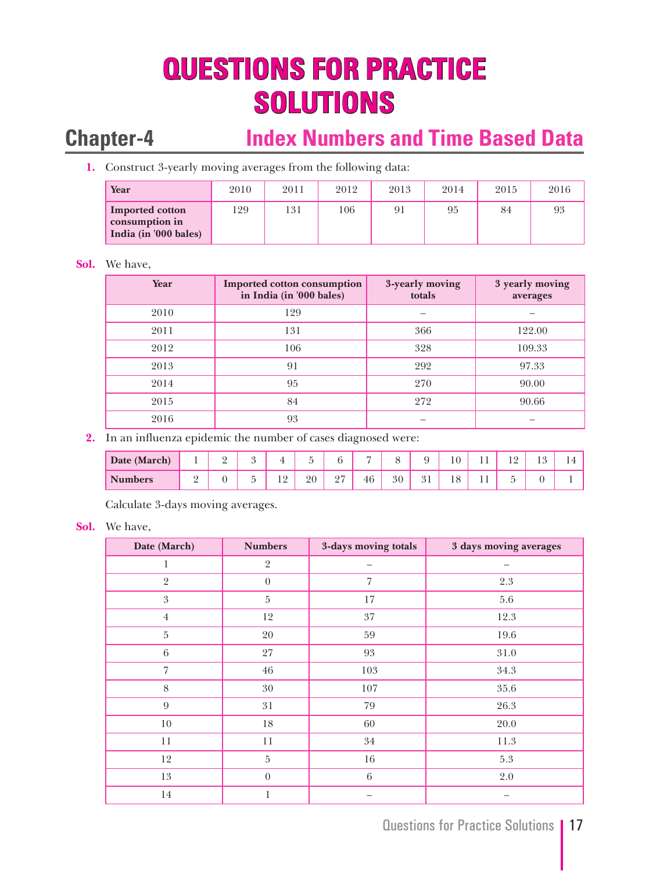# **QUESTIONS FOR PRACTICE SOLUTIONS**

## **Chapter-4 Index Numbers and Time Based Data**

**1.** Construct 3-yearly moving averages from the following data:

| Year                                                              | 2010 | 2011 | 2012 | 2013 | 2014 | 2015 | 2016 |
|-------------------------------------------------------------------|------|------|------|------|------|------|------|
| <b>Imported cotton</b><br>consumption in<br>India (in '000 bales) | 129  | 131  | 106  |      | 95   | 84   | 93   |

### **Sol.** We have,

| Year | <b>Imported cotton consumption</b><br>in India (in '000 bales) | 3-yearly moving<br>totals | 3 yearly moving<br>averages |  |
|------|----------------------------------------------------------------|---------------------------|-----------------------------|--|
| 2010 | 129                                                            |                           |                             |  |
| 2011 | 131<br>366                                                     |                           | 122.00                      |  |
| 2012 | 106                                                            | 328                       | 109.33                      |  |
| 2013 | 91                                                             | 292                       | 97.33                       |  |
| 2014 | 95                                                             | 270                       | 90.00                       |  |
| 2015 | 84                                                             | 272                       | 90.66                       |  |
| 2016 | 93                                                             |                           |                             |  |

**2.** In an influenza epidemic the number of cases diagnosed were:

| Date (March)   | $\overline{\phantom{a}}$ | - | $\Omega$<br>w |                  | $\overline{\phantom{0}}$<br>້ | $\sim$                       | −  | ◡  | Q<br>◡  | 10<br>$\mathbf{1} \cup$ | . . | $\sqrt{2}$<br>$\overline{1}$ | $1 \Omega$<br>$\sim$<br>⊥ ∪ | . . |
|----------------|--------------------------|---|---------------|------------------|-------------------------------|------------------------------|----|----|---------|-------------------------|-----|------------------------------|-----------------------------|-----|
| <b>Numbers</b> | ∸                        |   | ب<br>ັ        | 1 O<br><b>__</b> | 20                            | $\Omega$<br>$\leftharpoonup$ | 46 | 30 | 21<br>◡ | 10<br>1 U               | . . | ٠<br>ັ                       | ◡                           |     |

Calculate 3-days moving averages.

### **Sol.** We have,

| Date (March)     | <b>Numbers</b> | 3-days moving totals | 3 days moving averages |
|------------------|----------------|----------------------|------------------------|
| 1                | $\sqrt{2}$     |                      |                        |
| $\overline{2}$   | $\overline{0}$ | $\overline{7}$       | $2.3\,$                |
| $\boldsymbol{3}$ | $\overline{5}$ | 17                   | $5.6\,$                |
| $\overline{4}$   | 12             | $37\,$               | 12.3                   |
| $5\,$            | 20             | 59                   | 19.6                   |
| 6                | 27             | 93                   | $31.0\,$               |
| $\overline{7}$   | 46             | 103                  | 34.3                   |
| $8\,$            | $30\,$         | 107                  | $35.6\,$               |
| $\overline{9}$   | 31             | 79                   | 26.3                   |
| $10\,$           | 18             | 60                   | 20.0                   |
| 11               | 11             | 34                   | 11.3                   |
| 12               | 5              | $16\,$               | $5.3\,$                |
| 13               | $\theta$       | 6                    | $2.0\,$                |
| $14\,$           | 1              |                      |                        |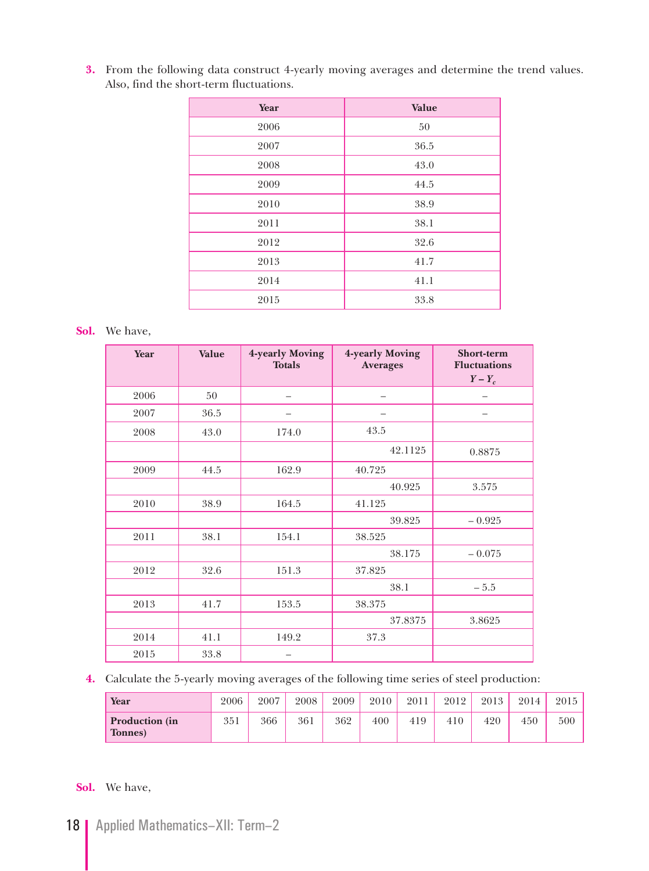**3.** From the following data construct 4-yearly moving averages and determine the trend values. Also, find the short-term fluctuations.

| Year | Value |
|------|-------|
| 2006 | 50    |
| 2007 | 36.5  |
| 2008 | 43.0  |
| 2009 | 44.5  |
| 2010 | 38.9  |
| 2011 | 38.1  |
| 2012 | 32.6  |
| 2013 | 41.7  |
| 2014 | 41.1  |
| 2015 | 33.8  |

### **Sol.** We have,

| Year | Value | 4-yearly Moving<br><b>Totals</b> | 4-yearly Moving<br><b>Averages</b> | <b>Short-term</b><br><b>Fluctuations</b><br>$Y-Y_c$ |
|------|-------|----------------------------------|------------------------------------|-----------------------------------------------------|
| 2006 | 50    |                                  | -                                  |                                                     |
| 2007 | 36.5  |                                  | -                                  | -                                                   |
| 2008 | 43.0  | 174.0                            | 43.5                               |                                                     |
|      |       |                                  | 42.1125                            | 0.8875                                              |
| 2009 | 44.5  | 162.9                            | 40.725                             |                                                     |
|      |       |                                  | 40.925                             | 3.575                                               |
| 2010 | 38.9  | 164.5                            | 41.125                             |                                                     |
|      |       |                                  | 39.825                             | $-0.925$                                            |
| 2011 | 38.1  | 154.1                            | 38.525                             |                                                     |
|      |       |                                  | 38.175                             | $-0.075$                                            |
| 2012 | 32.6  | 151.3                            | 37.825                             |                                                     |
|      |       |                                  | 38.1                               | $-5.5$                                              |
| 2013 | 41.7  | 153.5                            | 38.375                             |                                                     |
|      |       |                                  | 37.8375                            | 3.8625                                              |
| 2014 | 41.1  | 149.2                            | 37.3                               |                                                     |
| 2015 | 33.8  |                                  |                                    |                                                     |

**4.** Calculate the 5-yearly moving averages of the following time series of steel production:

| Year                             | 2006 | 2007 | 2008 | 2009 | 2010 | 2011 | 2012 | 2013 | 2014 | 2015 |
|----------------------------------|------|------|------|------|------|------|------|------|------|------|
| <b>Production</b> (in<br>Tonnes) | 351  | 366  | 361  | 362  | 400  | 419  | 410  | 420  | 450  | 500  |

### **Sol.** We have,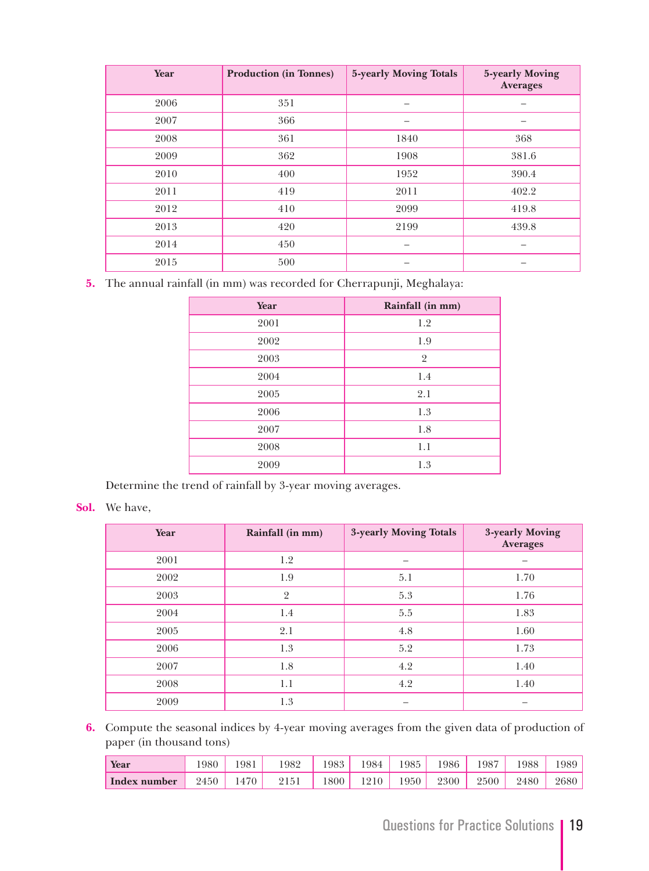| Year | <b>Production (in Tonnes)</b> | 5-yearly Moving Totals | 5-yearly Moving<br><b>Averages</b> |
|------|-------------------------------|------------------------|------------------------------------|
| 2006 | 351                           |                        |                                    |
| 2007 | 366                           |                        |                                    |
| 2008 | 361                           | 1840                   | 368                                |
| 2009 | 362                           | 1908                   | 381.6                              |
| 2010 | 400                           | 1952                   | 390.4                              |
| 2011 | 419                           | 2011                   | 402.2                              |
| 2012 | 410                           | 2099                   | 419.8                              |
| 2013 | 420                           | 2199                   | 439.8                              |
| 2014 | 450                           |                        |                                    |
| 2015 | 500                           |                        |                                    |

**5.** The annual rainfall (in mm) was recorded for Cherrapunji, Meghalaya:

| Year | Rainfall (in mm) |
|------|------------------|
| 2001 | 1.2              |
| 2002 | 1.9              |
| 2003 | $\overline{2}$   |
| 2004 | 1.4              |
| 2005 | 2.1              |
| 2006 | 1.3              |
| 2007 | 1.8              |
| 2008 | 1.1              |
| 2009 | 1.3              |
|      |                  |

Determine the trend of rainfall by 3-year moving averages.

### **Sol.** We have,

| Year | Rainfall (in mm) | 3-yearly Moving Totals | 3-yearly Moving<br><b>Averages</b> |
|------|------------------|------------------------|------------------------------------|
| 2001 | 1.2              |                        |                                    |
| 2002 | 1.9              | 5.1                    | 1.70                               |
| 2003 | $\overline{2}$   | 5.3                    | 1.76                               |
| 2004 | 1.4              | 5.5                    | 1.83                               |
| 2005 | 2.1              | 4.8                    | 1.60                               |
| 2006 | 1.3              | 5.2                    | 1.73                               |
| 2007 | 1.8              | 4.2                    | 1.40                               |
| 2008 | 1.1              | 4.2                    | 1.40                               |
| 2009 | 1.3              |                        |                                    |

**6.** Compute the seasonal indices by 4-year moving averages from the given data of production of paper (in thousand tons)

| Year         | 980    | 981  | 1982 | $1983_1$ | 1984. | 1985 | 1986 | 1987   | 1988 | 1989 |
|--------------|--------|------|------|----------|-------|------|------|--------|------|------|
| Index number | $2450$ | 1470 | 2151 | 1800     | 1210  | 1950 | 2300 | 2500 l | 2480 | 2680 |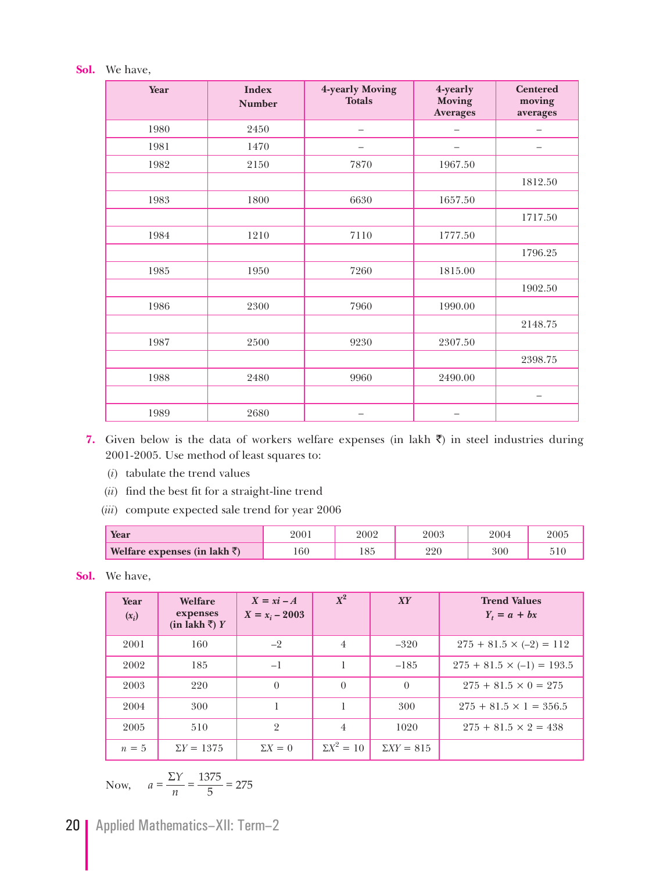### **Sol.** We have,

| Year | <b>Index</b><br><b>Number</b> | 4-yearly Moving<br><b>Totals</b> | 4-yearly<br><b>Moving</b><br><b>Averages</b> | <b>Centered</b><br>moving<br>averages |
|------|-------------------------------|----------------------------------|----------------------------------------------|---------------------------------------|
| 1980 | 2450                          | -                                |                                              |                                       |
| 1981 | 1470                          |                                  |                                              | -                                     |
| 1982 | 2150                          | 7870                             | 1967.50                                      |                                       |
|      |                               |                                  |                                              | 1812.50                               |
| 1983 | 1800                          | 6630                             | 1657.50                                      |                                       |
|      |                               |                                  |                                              | 1717.50                               |
| 1984 | 1210                          | 7110                             | 1777.50                                      |                                       |
|      |                               |                                  |                                              | 1796.25                               |
| 1985 | 1950                          | 7260                             | 1815.00                                      |                                       |
|      |                               |                                  |                                              | 1902.50                               |
| 1986 | 2300                          | 7960                             | 1990.00                                      |                                       |
|      |                               |                                  |                                              | 2148.75                               |
| 1987 | 2500                          | 9230                             | 2307.50                                      |                                       |
|      |                               |                                  |                                              | 2398.75                               |
| 1988 | 2480                          | 9960                             | 2490.00                                      |                                       |
|      |                               |                                  |                                              | —                                     |
| 1989 | 2680                          |                                  |                                              |                                       |

- 7. Given below is the data of workers welfare expenses (in lakh  $\bar{z}$ ) in steel industries during 2001-2005. Use method of least squares to:
	- (*i*) tabulate the trend values
	- (*ii*) find the best fit for a straight-line trend
	- (*iii*) compute expected sale trend for year 2006

| Year                                  | 200 | 2002            | $2003\,$  | 2004 | 2005 |
|---------------------------------------|-----|-----------------|-----------|------|------|
| Welfare expenses (in lakh $\bar{z}$ ) | 60  | $\Omega$<br>LOJ | റവെ<br>∸∸ | 300  |      |

**Sol.** We have,

| Year<br>$(x_i)$ | Welfare<br>expenses<br>(in lakh $\bar{z}$ ) Y | $X = xi - A$<br>$X = x_i - 2003$ | $X^2$             | XY                | <b>Trend Values</b><br>$Y_t = a + bx$ |
|-----------------|-----------------------------------------------|----------------------------------|-------------------|-------------------|---------------------------------------|
| 2001            | 160                                           | $-2$                             | $\overline{4}$    | $-320$            | $275 + 81.5 \times (-2) = 112$        |
| 2002            | 185                                           | $-1$                             |                   | $-185$            | $275 + 81.5 \times (-1) = 193.5$      |
| 2003            | 220                                           | $\theta$                         | $\Omega$          | $\theta$          | $275 + 81.5 \times 0 = 275$           |
| 2004            | 300                                           |                                  |                   | 300               | $275 + 81.5 \times 1 = 356.5$         |
| 2005            | 510                                           | $\overline{2}$                   | $\overline{4}$    | 1020              | $275 + 81.5 \times 2 = 438$           |
| $n=5$           | $\Sigma Y = 1375$                             | $\Sigma X = 0$                   | $\Sigma X^2 = 10$ | $\Sigma XY = 815$ |                                       |

Now, 
$$
a = \frac{\Sigma Y}{n} = \frac{1375}{5} = 275
$$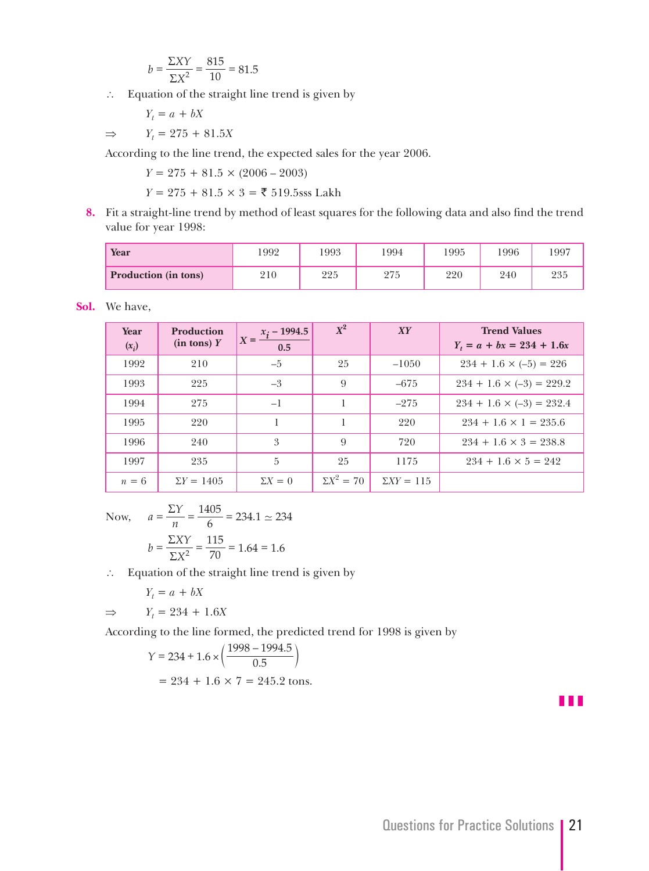$$
b = \frac{\Sigma XY}{\Sigma X^2} = \frac{815}{10} = 81.5
$$

∴ Equation of the straight line trend is given by

 *Yt*  $Y_t = a + bX$ 

> ⇒ *Yt*  $Y_t = 275 + 81.5X$

According to the line trend, the expected sales for the year 2006.

 $Y = 275 + 81.5 \times (2006 - 2003)$ 

*Y* = 275 + 81.5 × 3 = ₹ 519.5sss Lakh

**8.** Fit a straight-line trend by method of least squares for the following data and also find the trend value for year 1998:

| Year                        | 1992 | 1993       | 1994 | 1995 | 1996 | 1997 |
|-----------------------------|------|------------|------|------|------|------|
| <b>Production</b> (in tons) | 210  | 995<br>44J | 275  | 220  | 240  | 235  |

**Sol.** We have,

| Year<br>$(x_i)$ | <b>Production</b><br>$(in tons)$ Y | $X = \frac{x_i - 1994.5}{ }$<br>0.5 | $X^2$             | XY                | <b>Trend Values</b><br>$Y_t = a + bx = 234 + 1.6x$ |
|-----------------|------------------------------------|-------------------------------------|-------------------|-------------------|----------------------------------------------------|
| 1992            | 210                                | $-5$                                | 25                | $-1050$           | $234 + 1.6 \times (-5) = 226$                      |
| 1993            | 225                                | $-3$                                | 9                 | $-675$            | $234 + 1.6 \times (-3) = 229.2$                    |
| 1994            | 275                                | $-1$                                |                   | $-275$            | $234 + 1.6 \times (-3) = 232.4$                    |
| 1995            | 220                                |                                     |                   | 220               | $234 + 1.6 \times 1 = 235.6$                       |
| 1996            | 240                                | 3                                   | 9                 | 720               | $234 + 1.6 \times 3 = 238.8$                       |
| 1997            | 235                                | 5                                   | 25                | 1175              | $234 + 1.6 \times 5 = 242$                         |
| $n=6$           | $\Sigma Y = 1405$                  | $\Sigma X = 0$                      | $\Sigma X^2 = 70$ | $\Sigma XY = 115$ |                                                    |

Now,  $a = \frac{\Sigma Y}{n} = \frac{1405}{6} = 234.$ 6  $=\frac{\Sigma Y}{\Sigma}=\frac{1405}{6}=234.1\simeq 234$  $b = \frac{\Sigma XY}{\Sigma X^2} = \frac{115}{70} = 1.64 = 1.$ 70  $=\frac{\Sigma XY}{\Sigma X^2} = \frac{115}{70} = 1.64 = 1.6$ 

∴ Equation of the straight line trend is given by

$$
Y_t = a + bX
$$

$$
Y_t = 234 + 1.6X
$$

⇒ *Yt*

According to the line formed, the predicted trend for 1998 is given by

$$
Y = 234 + 1.6 \times \left(\frac{1998 - 1994.5}{0.5}\right)
$$

$$
= 234 + 1.6 \times 7 = 245.2 \text{ tons.}
$$

z z z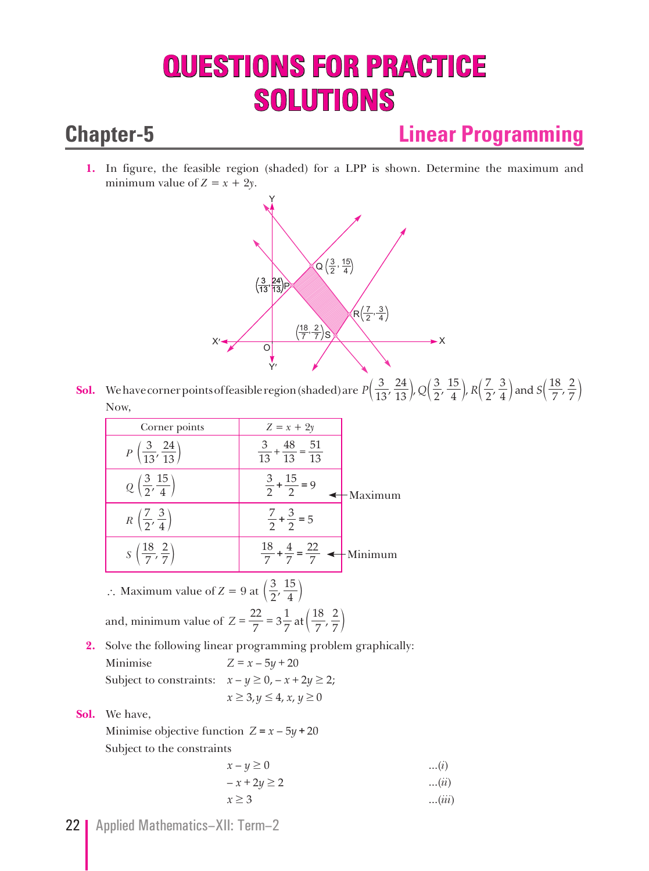# **QUESTIONS FOR PRACTICE SOLUTIONS**

## **Chapter-5 Linear Programming**

**1.** In figure, the feasible region (shaded) for a LPP is shown. Determine the maximum and minimum value of  $Z = x + 2y$ .



**Sol.** We have corner points of feasible region (shaded) are  $P\left(\frac{3}{13}, \frac{24}{13}\right), Q\left(\frac{3}{2}, \frac{15}{4}\right), R\left(\frac{7}{2}, \frac{3}{4}\right)$  and  $S\left(\frac{18}{7}, \frac{15}{13}\right)$ 13 24 2 3 4 15 2 7 4 3 7 18  $\left(\frac{3}{13}, \frac{24}{13}\right)$ , Q $\left(\frac{3}{2}, \frac{15}{4}\right)$ , R $\left(\frac{7}{2}, \frac{3}{4}\right)$  and S $\left(\frac{18}{7}, \frac{2}{7}\right)$ Now,

|    | Corner points                                                                                       | $Z = x + 2y$                                                        |         |
|----|-----------------------------------------------------------------------------------------------------|---------------------------------------------------------------------|---------|
|    | $P\left(\frac{3}{13},\frac{24}{13}\right)$                                                          | $\frac{3}{13} + \frac{48}{13} = \frac{51}{13}$                      |         |
|    | $Q\left(\frac{3}{2},\frac{15}{4}\right)$                                                            | $\frac{3}{2} + \frac{15}{2} = 9$                                    | Maximum |
|    | $R\left(\frac{7}{2},\frac{3}{4}\right)$                                                             | $\frac{7}{2} + \frac{3}{2} = 5$                                     |         |
|    | $S\left(\frac{18}{7},\frac{2}{7}\right)$                                                            | $rac{18}{7} + \frac{4}{7} = \frac{22}{7}$ $\longrightarrow$ Minimum |         |
|    | Maximum value of $Z = 9$ at $\left(\frac{3}{2}, \frac{15}{4}\right)$                                |                                                                     |         |
|    | and, minimum value of $Z = \frac{22}{7} = 3\frac{1}{7}$ at $\left(\frac{18}{7}, \frac{2}{7}\right)$ |                                                                     |         |
| 2. | Solve the following linear programming problem graphically:                                         |                                                                     |         |
|    | Minimise                                                                                            | $Z = x - 5y + 20$                                                   |         |
|    | Subject to constraints: $x - y \ge 0$ , $-x + 2y \ge 2$ ;                                           |                                                                     |         |
|    |                                                                                                     | $x \geq 3, y \leq 4, x, y \geq 0$                                   |         |

**Sol.** We have,

Minimise objective function  $Z = x - 5y + 20$ Subject to the constraints

$$
x-y \ge 0
$$
...(i)  

$$
-x+2y \ge 2
$$
...(ii)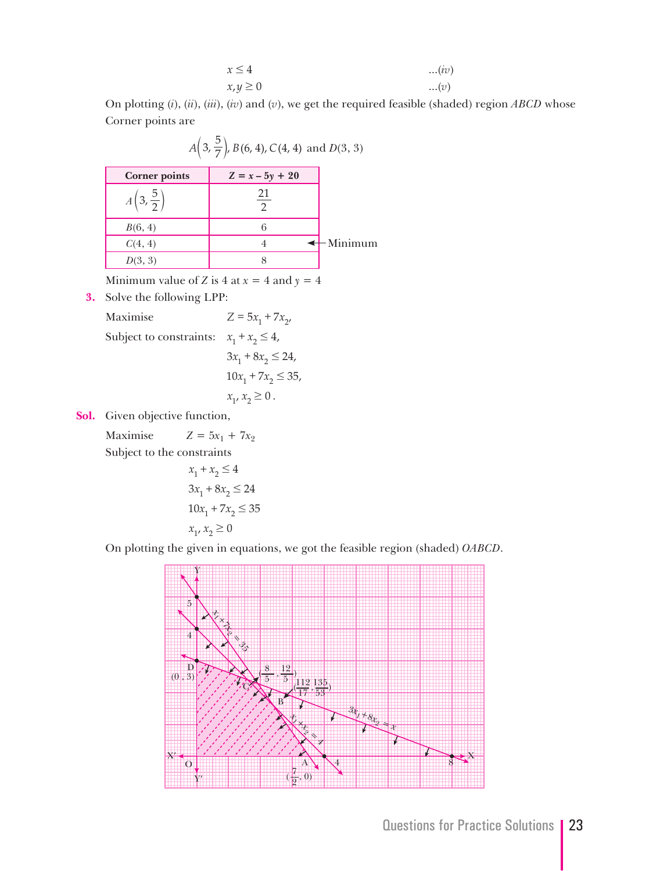$$
x \le 4 \qquad \qquad ...(iv)
$$
  

$$
x, y \ge 0 \qquad \qquad ...(v)
$$

 On plotting (*i*), (*ii*), (*iii*), (*iv*) and (*v*), we get the required feasible (shaded) region *ABCD* whose Corner points are

|                               | $A\left(3,\frac{5}{7}\right)$ , $B(6,4)$ , $C(4,4)$ and $D(3,3)$ |         |
|-------------------------------|------------------------------------------------------------------|---------|
| <b>Corner points</b>          | $Z = x - 5y + 20$                                                |         |
| $A\left(3,\frac{5}{2}\right)$ | 21                                                               |         |
| B(6, 4)                       | 6                                                                |         |
| C(4, 4)                       |                                                                  | Minimum |
| D(3, 3)                       | 8                                                                |         |

Minimum value of *Z* is 4 at  $x = 4$  and  $y = 4$ 

**3.** Solve the following LPP:

Maximise  $Z = 5x_1 + 7x_2$ , Subject to constraints:  $x_1 + x_2 \leq 4$ ,  $3x_1 + 8x_2 \le 24$ ,  $10x_1 + 7x_2 \leq 35$ ,

$$
x_1, x_2 \ge 0.
$$

**Sol.** Given objective function,

Maximise  $Z = 5x_1 + 7x_2$ Subject to the constraints

$$
x_1 + x_2 \le 4
$$
  
\n
$$
3x_1 + 8x_2 \le 24
$$
  
\n
$$
10x_1 + 7x_2 \le 35
$$
  
\n
$$
x_1, x_2 \ge 0
$$

On plotting the given in equations, we got the feasible region (shaded) *OABCD*.

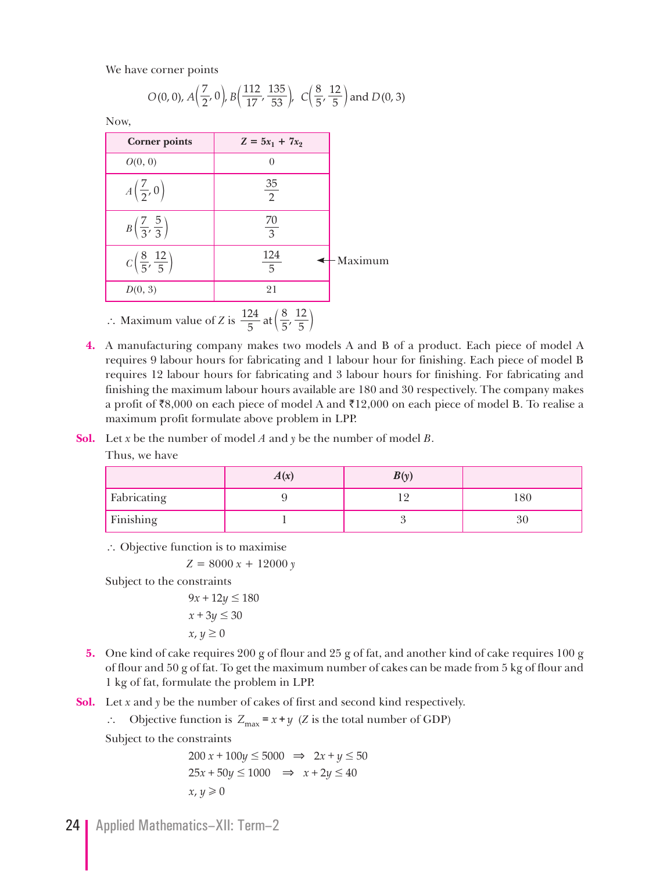We have corner points

$$
O(0, 0), A\left(\frac{7}{2}, 0\right), B\left(\frac{112}{17}, \frac{135}{53}\right), C\left(\frac{8}{5}, \frac{12}{5}\right) \text{ and } D(0, 3)
$$

Now,

| <b>Corner points</b>                     | $Z = 5x_1 + 7x_2$                                                                   |         |
|------------------------------------------|-------------------------------------------------------------------------------------|---------|
| O(0, 0)                                  |                                                                                     |         |
| $A\left(\frac{7}{2},0\right)$            | $\frac{35}{2}$                                                                      |         |
| $B\left(\frac{7}{3},\frac{5}{3}\right)$  | $\frac{70}{3}$                                                                      |         |
| $C\left(\frac{8}{5},\frac{12}{5}\right)$ | $\frac{124}{5}$                                                                     | Maximum |
| D(0, 3)                                  | 21                                                                                  |         |
|                                          | : Maximum value of Z is $\frac{124}{5}$ at $\left(\frac{8}{5}, \frac{12}{5}\right)$ |         |

- **4.** A manufacturing company makes two models A and B of a product. Each piece of model A requires 9 labour hours for fabricating and 1 labour hour for finishing. Each piece of model B requires 12 labour hours for fabricating and 3 labour hours for finishing. For fabricating and finishing the maximum labour hours available are 180 and 30 respectively. The company makes a profit of  $\overline{88,000}$  on each piece of model A and  $\overline{812,000}$  on each piece of model B. To realise a maximum profit formulate above problem in LPP.
- **Sol.** Let *x* be the number of model *A* and *y* be the number of model *B*.

Thus, we have

|                    | A(x) | B(v) |    |
|--------------------|------|------|----|
| <b>Fabricating</b> |      |      | 80 |
| Finishing          |      |      |    |

 $\therefore$  Objective function is to maximise

 $Z = 8000 x + 12000 y$ 

Subject to the constraints

 $9x + 12y \le 180$  $x + 3y \le 30$  $x, y \geq 0$ 

- **5.** One kind of cake requires 200 g of flour and 25 g of fat, and another kind of cake requires 100 g of flour and 50 g of fat. To get the maximum number of cakes can be made from 5 kg of flour and 1 kg of fat, formulate the problem in LPP.
- **Sol.** Let *x* and *y* be the number of cakes of first and second kind respectively.

 $\therefore$  Objective function is  $Z_{\text{max}} = x + y$  (*Z* is the total number of GDP)

Subject to the constraints

$$
200 x + 100y \le 5000 \implies 2x + y \le 50
$$
  

$$
25x + 50y \le 1000 \implies x + 2y \le 40
$$
  

$$
x, y \ge 0
$$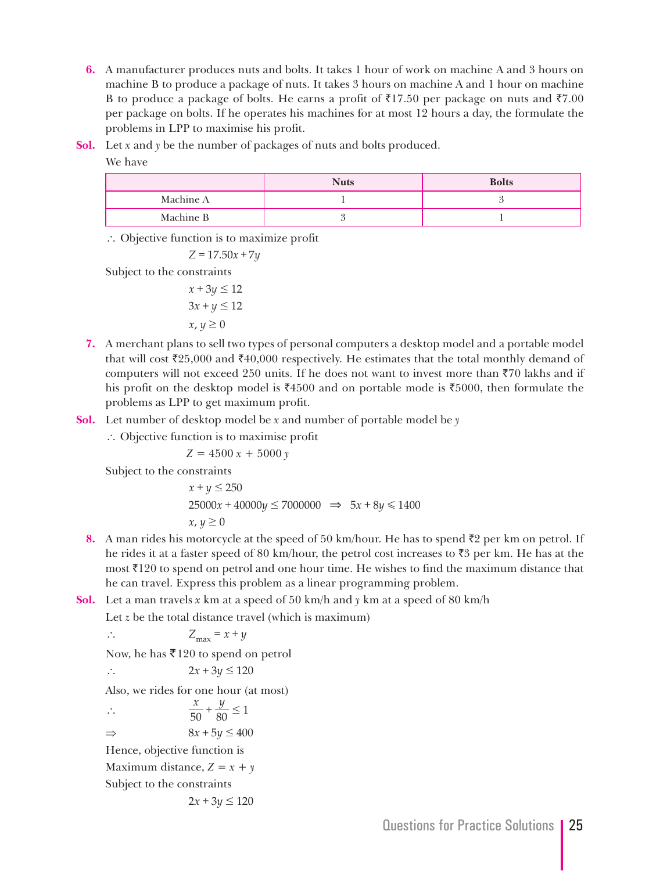- **6.** A manufacturer produces nuts and bolts. It takes 1 hour of work on machine A and 3 hours on machine B to produce a package of nuts. It takes 3 hours on machine A and 1 hour on machine B to produce a package of bolts. He earns a profit of  $\overline{517.50}$  per package on nuts and  $\overline{57.00}$ per package on bolts. If he operates his machines for at most 12 hours a day, the formulate the problems in LPP to maximise his profit.
- **Sol.** Let *x* and *y* be the number of packages of nuts and bolts produced.

We have

|           | <b>Nuts</b> | <b>Bolts</b> |
|-----------|-------------|--------------|
| Machine A |             |              |
| Machine B |             |              |

` Objective function is to maximize profit

 $Z = 17.50x + 7y$ 

Subject to the constraints

$$
x + 3y \le 12
$$
  

$$
3x + y \le 12
$$
  

$$
x, y \ge 0
$$

- **7.** A merchant plans to sell two types of personal computers a desktop model and a portable model that will cost  $\bar{\zeta}$ 25,000 and  $\bar{\zeta}$ 40,000 respectively. He estimates that the total monthly demand of computers will not exceed 250 units. If he does not want to invest more than  $\overline{z}70$  lakhs and if his profit on the desktop model is  $\overline{4}4500$  and on portable mode is  $\overline{5}5000$ , then formulate the problems as LPP to get maximum profit.
- **Sol.** Let number of desktop model be *x* and number of portable model be *y*
	- ∴ Objective function is to maximise profit

 $Z = 4500 x + 5000 y$ 

Subject to the constraints

 $x + y \le 250$  $25000x + 40000y \le 7000000 \implies 5x + 8y \le 1400$  $x, y \geq 0$ 

- **8.** A man rides his motorcycle at the speed of 50 km/hour. He has to spend  $\bar{\tau}$ 2 per km on petrol. If he rides it at a faster speed of 80 km/hour, the petrol cost increases to  $\bar{z}3$  per km. He has at the most  $\bar{\tau}$ 120 to spend on petrol and one hour time. He wishes to find the maximum distance that he can travel. Express this problem as a linear programming problem.
- **Sol.** Let a man travels *x* km at a speed of 50 km/h and *y* km at a speed of 80 km/h

Let *z* be the total distance travel (which is maximum)

$$
\therefore \qquad Z_{\text{max}} = x + y
$$

Now, he has ₹120 to spend on petrol

 $\therefore$  2x + 3y  $\leq$  120

Also, we rides for one hour (at most)

$$
\therefore \frac{x}{50} + \frac{y}{80} \le 1
$$
  
\n
$$
\Rightarrow \quad 8x + 5y \le 400
$$
  
\nHence, objective function is  
\nMaximum distance,  $Z = x + y$   
\nSubject to the constraints  
\n $2x + 3y \le 120$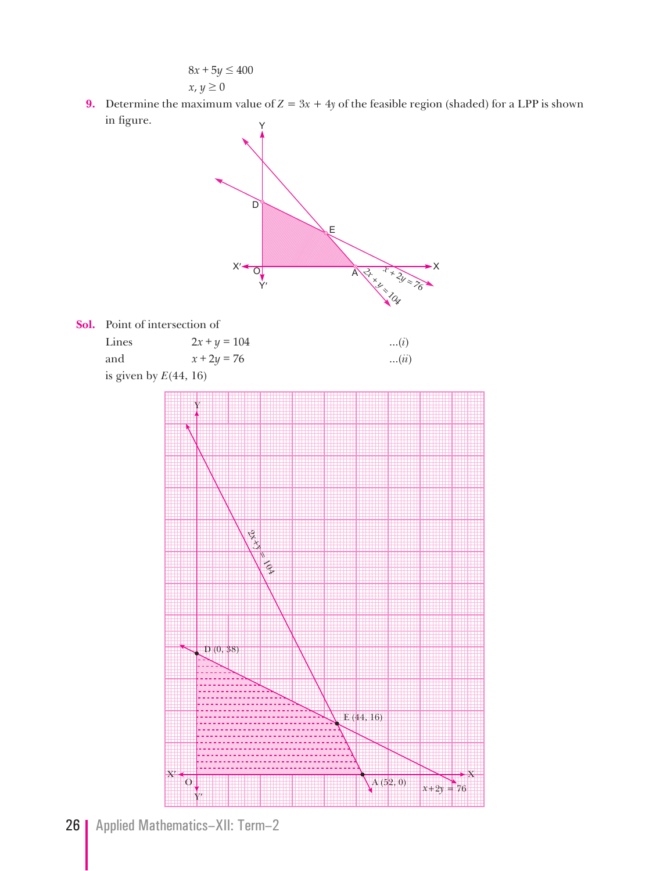$$
8x + 5y \le 400
$$
  

$$
x, y \ge 0
$$

**9.** Determine the maximum value of  $Z = 3x + 4y$  of the feasible region (shaded) for a LPP is shown in figure.

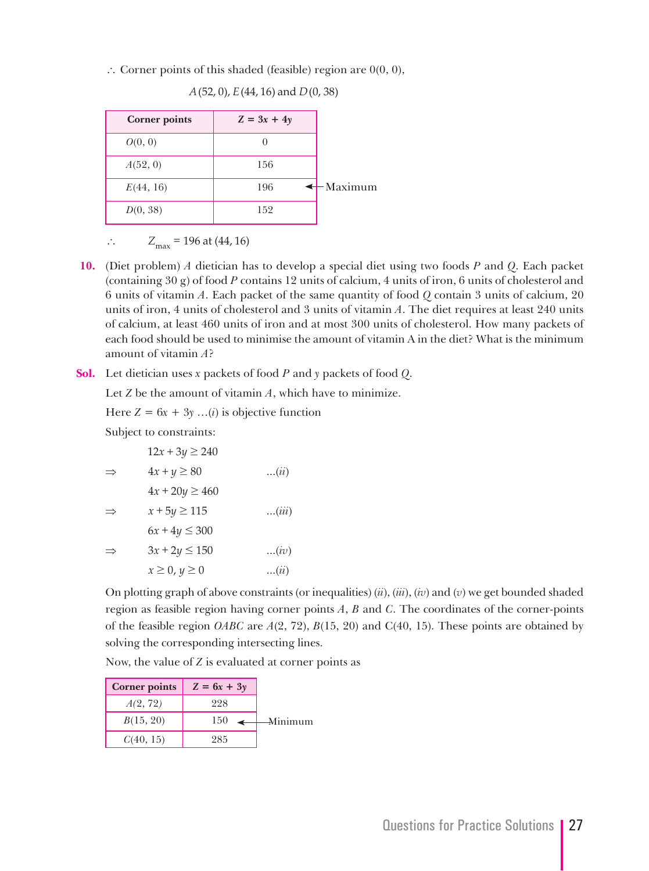$\therefore$  Corner points of this shaded (feasible) region are 0(0, 0),

**Corner points**  $Z = 3x + 4y$  $O(0, 0)$  0 *A*(52, 0) 156 *E*(44, 16) 196 *D*(0, 38) 152  $\leftarrow$ Maximum

*A* (52, 0), *E* (44, 16) and *D* (0, 38)

 $Z_{\text{max}} = 196 \text{ at } (44, 16)$ 

- **10.** (Diet problem) *A* dietician has to develop a special diet using two foods *P* and *Q*. Each packet (containing 30 g) of food *P* contains 12 units of calcium, 4 units of iron, 6 units of cholesterol and 6 units of vitamin *A*. Each packet of the same quantity of food *Q* contain 3 units of calcium, 20 units of iron, 4 units of cholesterol and 3 units of vitamin *A*. The diet requires at least 240 units of calcium, at least 460 units of iron and at most 300 units of cholesterol. How many packets of each food should be used to minimise the amount of vitamin A in the diet? What is the minimum amount of vitamin *A*?
- **Sol.** Let dietician uses *x* packets of food *P* and *y* packets of food *Q*.

Let *Z* be the amount of vitamin *A*, which have to minimize.

Here  $Z = 6x + 3y$  ...(*i*) is objective function

Subject to constraints:

 $12x + 3y \ge 240$ 

| $\Rightarrow$ | $4x + y \ge 80$      | $\dots(i\ell)$ |
|---------------|----------------------|----------------|
|               | $4x + 20y \ge 460$   |                |
| $\Rightarrow$ | $x + 5y \ge 115$     | (iii)          |
|               | $6x + 4y \le 300$    |                |
| $\Rightarrow$ | $3x + 2y \le 150$    | (iv)           |
|               | $x \geq 0, y \geq 0$ | $\dots(i\ell)$ |

 On plotting graph of above constraints (or inequalities) (*ii*), (*iii*), (*iv*) and (*v*) we get bounded shaded region as feasible region having corner points *A*, *B* and *C*. The coordinates of the corner-points of the feasible region *OABC* are  $A(2, 72)$ ,  $B(15, 20)$  and C(40, 15). These points are obtained by solving the corresponding intersecting lines.

Now, the value of *Z* is evaluated at corner points as

| <b>Corner points</b> | $Z = 6x + 3y$ |                         |
|----------------------|---------------|-------------------------|
| A(2, 72)             | 998           |                         |
| B(15, 20)            | 150           | $\Delta$ <i>Minimum</i> |
| C(40, 15)            | 985           |                         |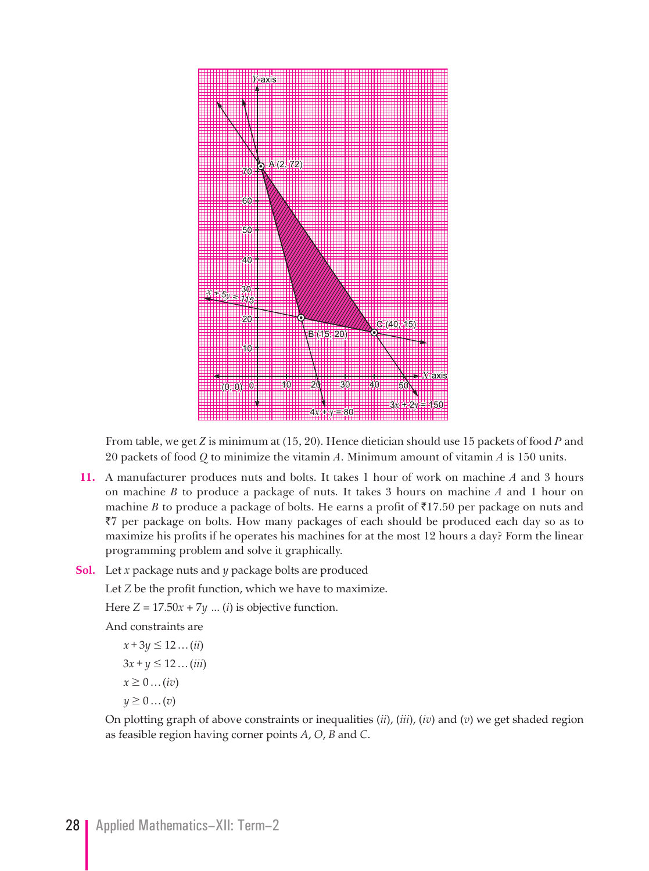

From table, we get *Z* is minimum at (15, 20). Hence dietician should use 15 packets of food *P* and 20 packets of food *Q* to minimize the vitamin *A*. Minimum amount of vitamin *A* is 150 units.

**11.** A manufacturer produces nuts and bolts. It takes 1 hour of work on machine *A* and 3 hours on machine *B* to produce a package of nuts. It takes 3 hours on machine *A* and 1 hour on machine *B* to produce a package of bolts. He earns a profit of  $\bar{\tau}$ 17.50 per package on nuts and  $\bar{z}$  per package on bolts. How many packages of each should be produced each day so as to maximize his profits if he operates his machines for at the most 12 hours a day? Form the linear programming problem and solve it graphically.

### **Sol.** Let *x* package nuts and *y* package bolts are produced

Let *Z* be the profit function, which we have to maximize.

Here  $Z = 17.50x + 7y$  ... (*i*) is objective function.

And constraints are

 $x + 3y \le 12 ... (ii)$  $3x + y \le 12$ ...*(iii)*  $x \geq 0 \dots (iv)$  $y \geq 0 \dots (v)$ 

On plotting graph of above constraints or inequalities (*ii*), (*iii*), (*iv*) and (*v*) we get shaded region as feasible region having corner points *A*, *O*, *B* and *C*.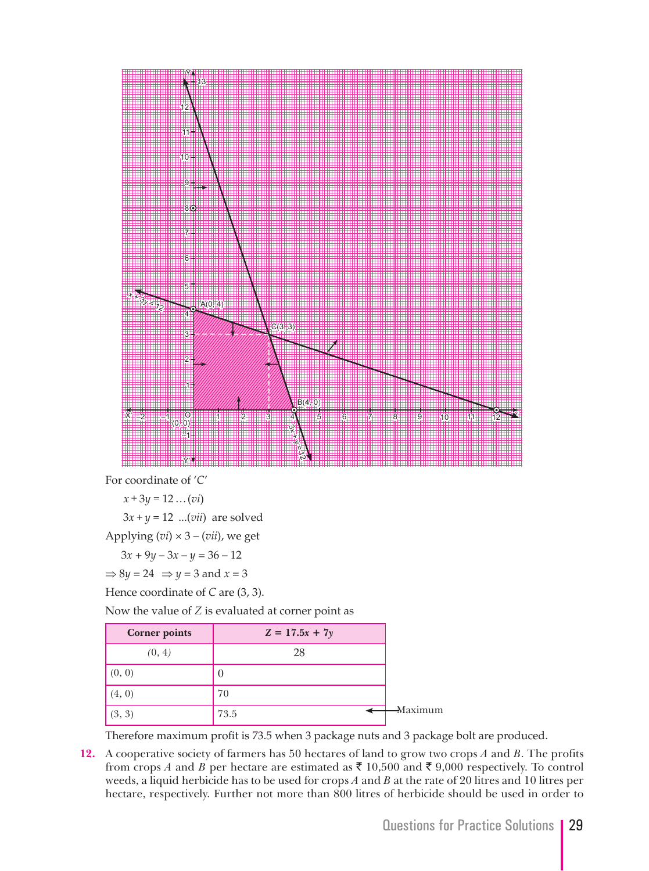

For coordinate of '*C*'

 $x + 3y = 12... (vi)$ 

 $3x + y = 12$  ...(*vii*) are solved

Applying (*vi*) × 3 – (*vii*), we get

 $3x + 9y - 3x - y = 36 - 12$ 

 $\Rightarrow$  8*y* = 24  $\Rightarrow$  *y* = 3 and *x* = 3

Hence coordinate of *C* are (3, 3).

Now the value of *Z* is evaluated at corner point as

| <b>Corner points</b> | $Z = 17.5x + 7y$ |
|----------------------|------------------|
| (0, 4)               | 28               |
| (0, 0)               |                  |
| (4, 0)               | 70               |
| (3, 3)               | 73.5             |

Therefore maximum profit is 73.5 when 3 package nuts and 3 package bolt are produced.

**12.** A cooperative society of farmers has 50 hectares of land to grow two crops *A* and *B*. The profits from crops *A* and *B* per hectare are estimated as  $\bar{\tau}$  10,500 and  $\bar{\tau}$  9,000 respectively. To control weeds, a liquid herbicide has to be used for crops *A* and *B* at the rate of 20 litres and 10 litres per hectare, respectively. Further not more than 800 litres of herbicide should be used in order to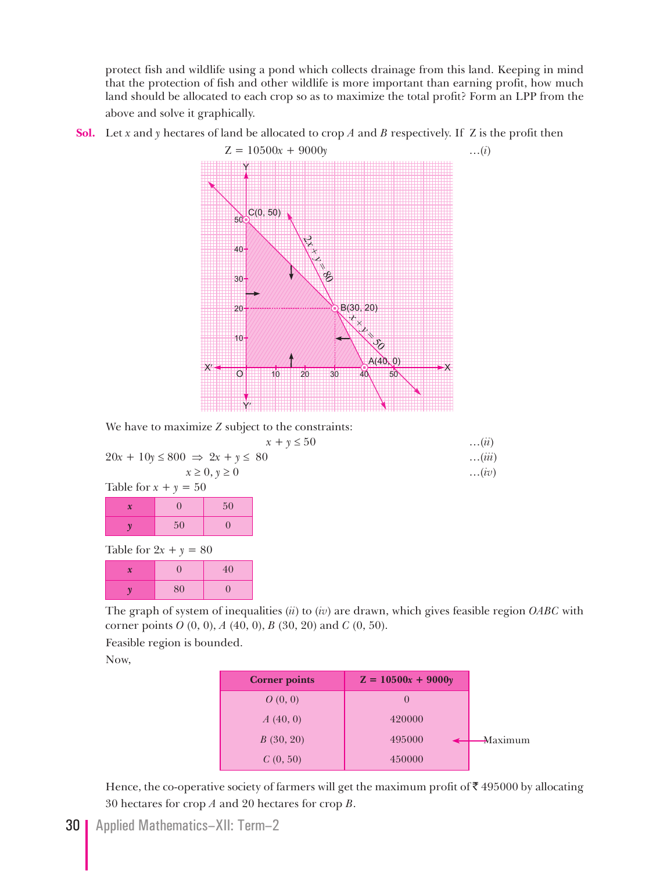protect fish and wildlife using a pond which collects drainage from this land. Keeping in mind that the protection of fish and other wildlife is more important than earning profit, how much land should be allocated to each crop so as to maximize the total profit? Form an LPP from the above and solve it graphically.

**Sol.** Let *x* and *y* hectares of land be allocated to crop *A* and *B* respectively. If Z is the profit then



We have to maximize *Z* subject to the constraints:

$$
x + y \le 50
$$
...(ii)  

$$
20x + 10y \le 800 \implies 2x + y \le 80
$$
...(iii)  
...(iii)

$$
x \ge 0, y \ge 0
$$
...(iv)  
Table for  $x + y = 50$ 

| <b>LAURE IOL</b> $\lambda + \gamma$<br>$ \sigma$ |    |    |  |  |
|--------------------------------------------------|----|----|--|--|
| $\boldsymbol{\mathcal{X}}$                       |    | 50 |  |  |
|                                                  | 50 |    |  |  |

Table for  $2x + y = 80$ 

| $\boldsymbol{\mathcal{X}}$ |    | 40 |
|----------------------------|----|----|
|                            | 80 |    |

 The graph of system of inequalities (*ii*) to (*iv*) are drawn, which gives feasible region *OABC* with corner points *O* (0, 0), *A* (40, 0), *B* (30, 20) and *C* (0, 50).

Feasible region is bounded.

Now,

| <b>Corner points</b> | $Z = 10500x + 9000y$ |
|----------------------|----------------------|
| O(0, 0)              | $\left($             |
| A(40, 0)             | 420000               |
| B(30, 20)            | 495000               |
| C(0, 50)             | 450000               |

Hence, the co-operative society of farmers will get the maximum profit of  $\bar{\tau}$  495000 by allocating 30 hectares for crop *A* and 20 hectares for crop *B*.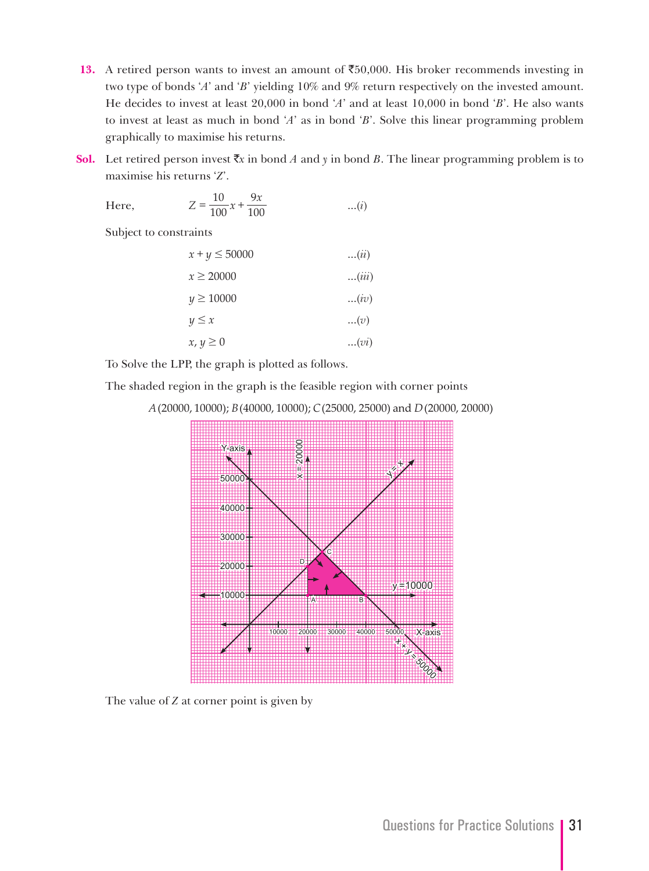- 13. A retired person wants to invest an amount of  $\overline{50,000}$ . His broker recommends investing in two type of bonds '*A*' and '*B*' yielding 10% and 9% return respectively on the invested amount. He decides to invest at least 20,000 in bond '*A*' and at least 10,000 in bond '*B*'. He also wants to invest at least as much in bond '*A*' as in bond '*B*'. Solve this linear programming problem graphically to maximise his returns.
- **Sol.** Let retired person invest  $\bar{x}$  in bond *A* and *y* in bond *B*. The linear programming problem is to maximise his returns '*Z*'.

Here, 
$$
Z = \frac{10}{100}x + \frac{9x}{100}
$$
 ...(i)

Subject to constraints

| $x + y \le 50000$ | $\dots(ii)$ |
|-------------------|-------------|
| $x \ge 20000$     | (iii)       |
| $y \ge 10000$     | (iv)        |
| $y \leq x$        | (v)         |
| $x, y \geq 0$     | (vi)        |

To Solve the LPP, the graph is plotted as follows.

The shaded region in the graph is the feasible region with corner points

*A* (20000, 10000); *B* (40000, 10000); *C* (25000, 25000) and *D* (20000, 20000)



The value of *Z* at corner point is given by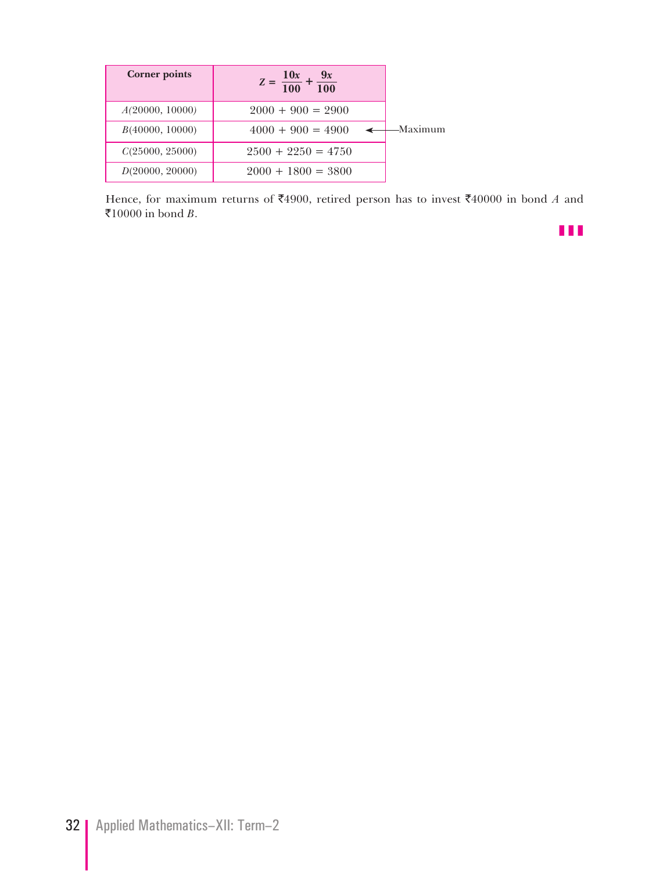| <b>Corner points</b> | $Z = \frac{10x}{100} + \frac{9x}{100}$ |          |
|----------------------|----------------------------------------|----------|
| A(20000, 10000)      | $2000 + 900 = 2900$                    |          |
| B(40000, 10000)      | $4000 + 900 = 4900$                    | -Maximum |
| C(25000, 25000)      | $2500 + 2250 = 4750$                   |          |
| D(20000, 20000)      | $2000 + 1800 = 3800$                   |          |

Hence, for maximum returns of  $\overline{\mathfrak{F}}4900$ , retired person has to invest  $\overline{\mathfrak{F}}40000$  in bond *A* and  $\overline{\xi}$ 10000 in bond *B*.

z z z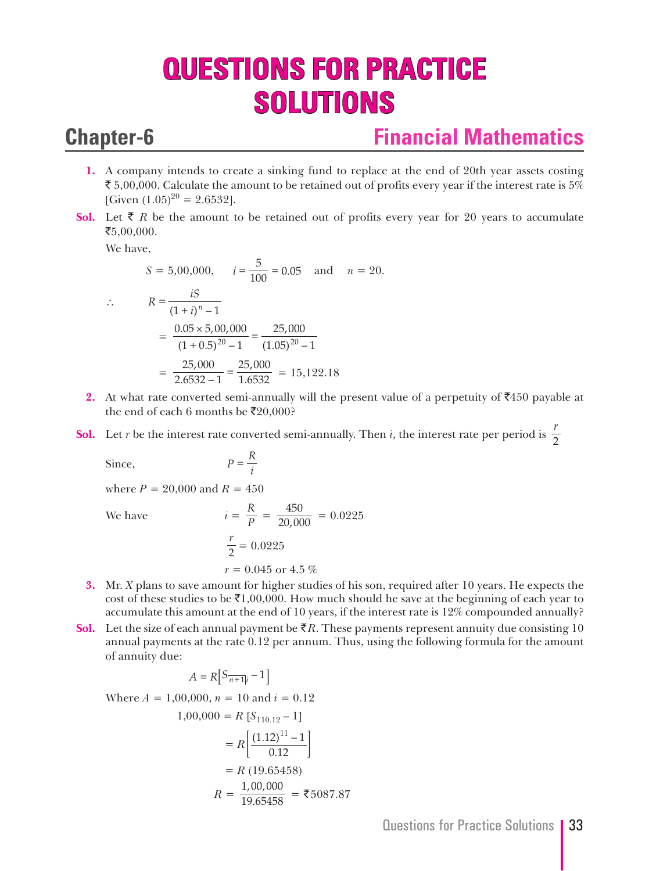# **QUESTIONS FOR PRACTICE SOLUTIONS**

## **Chapter-6 Financial Mathematics**

- **1.** A company intends to create a sinking fund to replace at the end of 20th year assets costing  $\bar{\mathfrak{F}}$  5,00,000. Calculate the amount to be retained out of profits every year if the interest rate is 5% [Given  $(1.05)^{20} = 2.6532$ ].
- **Sol.** Let  $\bar{\tau}$  R be the amount to be retained out of profits every year for 20 years to accumulate  $\mathbf{\bar{5}}$ ,00,000.

We have,

$$
S = 5,00,000, \qquad i = \frac{5}{100} = 0.05 \quad \text{and} \quad n = 20.
$$
  
\n
$$
\therefore \qquad R = \frac{iS}{(1+i)^n - 1}
$$
  
\n
$$
= \frac{0.05 \times 5,00,000}{(1+0.5)^{20} - 1} = \frac{25,000}{(1.05)^{20} - 1}
$$
  
\n
$$
= \frac{25,000}{2.6532 - 1} = \frac{25,000}{1.6532} = 15,122.18
$$

- **2.** At what rate converted semi-annually will the present value of a perpetuity of  $\bar{\mathbf{z}}$ 450 payable at the end of each 6 months be  $\bar{\mathfrak{r}}20,000$ ?
- **Sol.** Let *r* be the interest rate converted semi-annually. Then *i*, the interest rate per period is  $\frac{r}{2}$

Since, 
$$
P = \frac{R}{i}
$$

where  $P = 20,000$  and  $R = 450$ 

 $We have$ 

We have 
$$
i = \frac{R}{P} = \frac{450}{20,000} = 0.0225
$$
  
 $\frac{r}{2} = 0.0225$   
 $r = 0.045$  or 4.5 %

- **3.** Mr. *X* plans to save amount for higher studies of his son, required after 10 years. He expects the cost of these studies to be  $\bar{\mathcal{F}}1,00,000$ . How much should he save at the beginning of each year to accumulate this amount at the end of 10 years, if the interest rate is 12% compounded annually?
- **Sol.** Let the size of each annual payment be  $\bar{\zeta}R$ . These payments represent annuity due consisting 10 annual payments at the rate 0.12 per annum. Thus, using the following formula for the amount of annuity due:

$$
A = R \left[ S_{\overline{n+1|i}} - 1 \right]
$$

Where  $A = 1,00,000$ ,  $n = 10$  and  $i = 0.12$ 

$$
1,00,000 = R [S_{110.12} - 1]
$$
  
=  $R \left[ \frac{(1.12)^{11} - 1}{0.12} \right]$   
=  $R (19.65458)$   
 $R = \frac{1,00,000}{19.65458} =$  ₹5087.87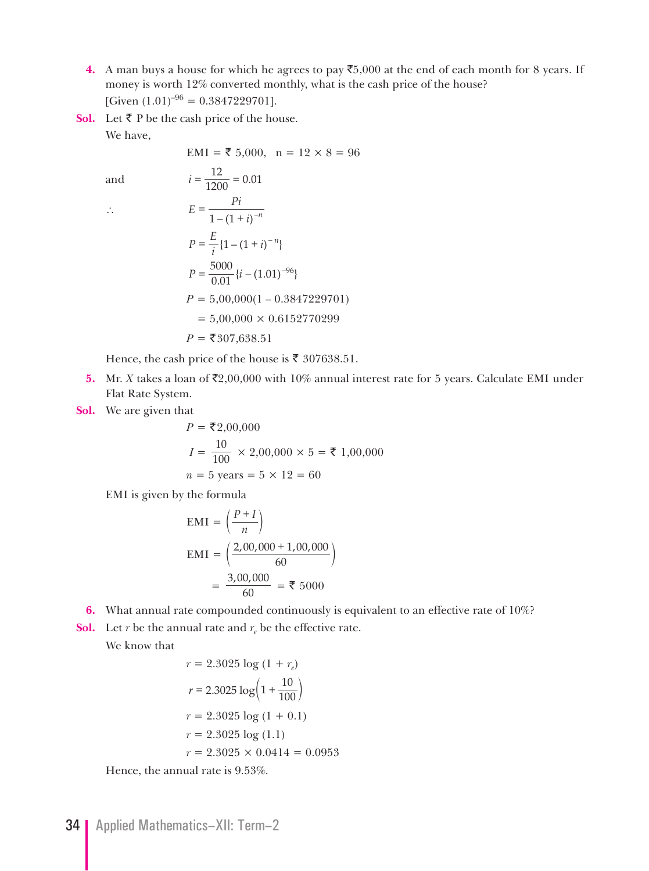- **4.** A man buys a house for which he agrees to pay  $\mathsf{\overline{5}},000$  at the end of each month for 8 years. If money is worth 12% converted monthly, what is the cash price of the house? [Given  $(1.01)^{-96}$  = 0.3847229701].
- **Sol.** Let ₹ P be the cash price of the house.

We have,

$$
EMI = \t{5,000}, n = 12 \times 8 = 96
$$

and 
$$
i = \frac{12}{1200} = 0.01
$$
  
\n∴  $E = \frac{Pi}{1 - (1 + i)^{-n}}$   
\n $P = \frac{E}{i} \{1 - (1 + i)^{-n}\}$   
\n $P = \frac{5000}{0.01} \{i - (1.01)^{-96}\}$   
\n $P = 5,00,000(1 - 0.3847229701)$   
\n $= 5,00,000 \times 0.6152770299$   
\n $P = ₹307,638.51$ 

Hence, the cash price of the house is  $\bar{\tau}$  307638.51.

- **5.** Mr. *X* takes a loan of  $\overline{z}2,00,000$  with 10% annual interest rate for 5 years. Calculate EMI under Flat Rate System.
- **Sol.** We are given that

$$
P = ₹2,00,000
$$
  

$$
I = \frac{10}{100} \times 2,00,000 \times 5 = ₹1,00,000
$$
  

$$
n = 5
$$
 years = 5 × 12 = 60

EMI is given by the formula

$$
EMI = \left(\frac{P+I}{n}\right)
$$
  

$$
EMI = \left(\frac{2,00,000+1,00,000}{60}\right)
$$
  

$$
= \frac{3,00,000}{60} = \text{F } 5000
$$

**6.** What annual rate compounded continuously is equivalent to an effective rate of 10%?

**Sol.** Let *r* be the annual rate and  $r_e$  be the effective rate.

We know that

$$
r = 2.3025 \log (1 + r_e)
$$
  
\n
$$
r = 2.3025 \log (1 + \frac{10}{100})
$$
  
\n
$$
r = 2.3025 \log (1 + 0.1)
$$
  
\n
$$
r = 2.3025 \log (1.1)
$$
  
\n
$$
r = 2.3025 \times 0.0414 = 0.0953
$$

Hence, the annual rate is 9.53%.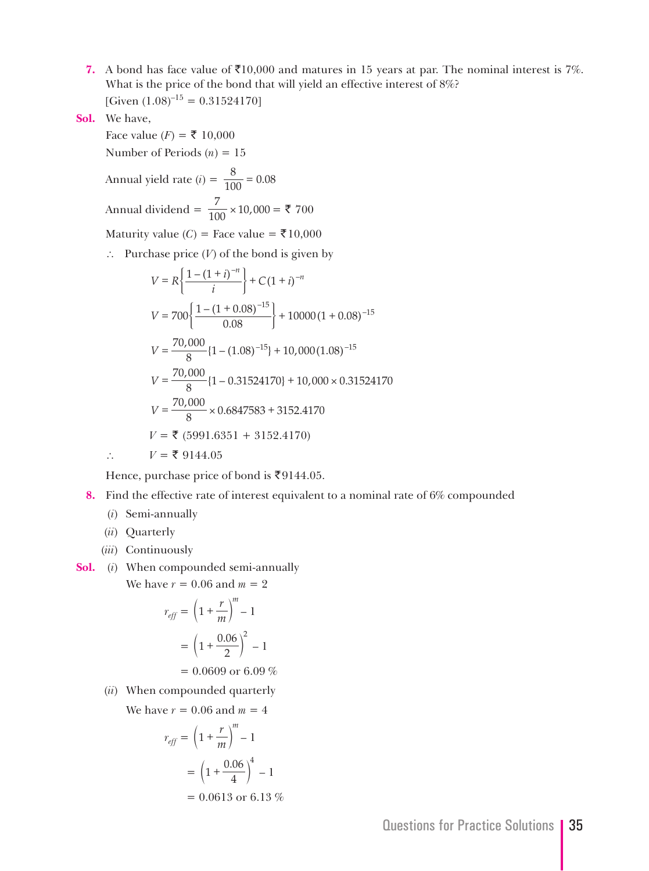**7.** A bond has face value of  $\bar{\mathfrak{z}}10,000$  and matures in 15 years at par. The nominal interest is 7%. What is the price of the bond that will yield an effective interest of 8%? [Given  $(1.08)^{-15} = 0.31524170$ ]

**Sol.** We have,

Face value (*F*) = ₹ 10,000 Number of Periods (*n*) = 15 Annual yield rate (*i*) =  $\frac{8}{100}$  = 0.08 Annual dividend =  $\frac{7}{100} \times 10,000 =$  ₹ 700 Maturity value  $(C)$  = Face value =  $\overline{\mathfrak{F}}10,000$  ∴ Purchase price (*V*) of the bond is given by  $V = R\left\{\frac{1-(1+i)^{-n}}{i}\right\} + C(1+i)^{-n}$  $V = 700 \left\{ \frac{1 - (1 + 0.08)^{-15}}{0.08} \right\} + 10000 (1 + 0.08)^{-15}$  $V = \frac{70,000}{8} \{1 - (1.08)^{-15}\} + 10,000 (1.08)^{-15}$  $V = \frac{70,000}{8} \{1 - 0.31524170\} + 10,000 \times 0.31524170$  $V = \frac{70,000}{8} \times 0.6847583 + 3152.4170$  $V = ₹ (5991.6351 + 3152.4170)$ 

∴  $V = ₹ 9144.05$ 

Hence, purchase price of bond is ₹9144.05.

- **8.** Find the effective rate of interest equivalent to a nominal rate of 6% compounded
	- (*i*) Semi-annually
	- (*ii*) Quarterly
	- (*iii*) Continuously
- **Sol.** (*i*) When compounded semi-annually We have  $r = 0.06$  and  $m = 2$

$$
r_{eff} = \left(1 + \frac{r}{m}\right)^m - 1
$$

$$
= \left(1 + \frac{0.06}{2}\right)^2 - 1
$$

$$
= 0.0609 \text{ or } 6.09\%
$$

(*ii*) When compounded quarterly

We have  $r = 0.06$  and  $m = 4$ 

$$
r_{eff} = \left(1 + \frac{r}{m}\right)^{m} - 1
$$

$$
= \left(1 + \frac{0.06}{4}\right)^{4} - 1
$$

$$
= 0.0613 \text{ or } 6.13\%
$$